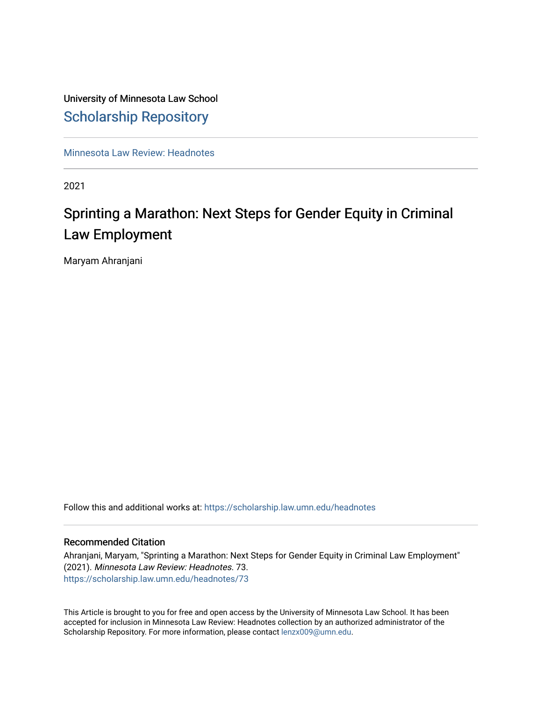# University of Minnesota Law School [Scholarship Repository](https://scholarship.law.umn.edu/)

[Minnesota Law Review: Headnotes](https://scholarship.law.umn.edu/headnotes) 

2021

# Sprinting a Marathon: Next Steps for Gender Equity in Criminal Law Employment

Maryam Ahranjani

Follow this and additional works at: [https://scholarship.law.umn.edu/headnotes](https://scholarship.law.umn.edu/headnotes?utm_source=scholarship.law.umn.edu%2Fheadnotes%2F73&utm_medium=PDF&utm_campaign=PDFCoverPages) 

#### Recommended Citation

Ahranjani, Maryam, "Sprinting a Marathon: Next Steps for Gender Equity in Criminal Law Employment" (2021). Minnesota Law Review: Headnotes. 73. [https://scholarship.law.umn.edu/headnotes/73](https://scholarship.law.umn.edu/headnotes/73?utm_source=scholarship.law.umn.edu%2Fheadnotes%2F73&utm_medium=PDF&utm_campaign=PDFCoverPages)

This Article is brought to you for free and open access by the University of Minnesota Law School. It has been accepted for inclusion in Minnesota Law Review: Headnotes collection by an authorized administrator of the Scholarship Repository. For more information, please contact [lenzx009@umn.edu.](mailto:lenzx009@umn.edu)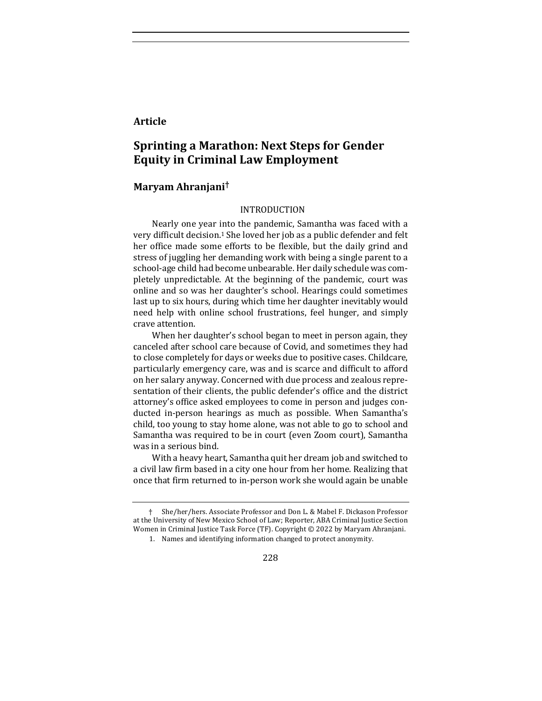### **Article**

## **Sprinting a Marathon: Next Steps for Gender Equity in Criminal Law Employment**

#### **Maryam Ahranjani†**

#### INTRODUCTION

Nearly one year into the pandemic, Samantha was faced with a very difficult decision.<sup>1</sup> She loved her job as a public defender and felt her office made some efforts to be flexible, but the daily grind and stress of juggling her demanding work with being a single parent to a school-age child had become unbearable. Her daily schedule was completely unpredictable. At the beginning of the pandemic, court was online and so was her daughter's school. Hearings could sometimes last up to six hours, during which time her daughter inevitably would need help with online school frustrations, feel hunger, and simply crave attention. 

When her daughter's school began to meet in person again, they canceled after school care because of Covid, and sometimes they had to close completely for days or weeks due to positive cases. Childcare, particularly emergency care, was and is scarce and difficult to afford on her salary anyway. Concerned with due process and zealous representation of their clients, the public defender's office and the district attorney's office asked employees to come in person and judges conducted in-person hearings as much as possible. When Samantha's child, too young to stay home alone, was not able to go to school and Samantha was required to be in court (even Zoom court), Samantha was in a serious bind.

With a heavy heart, Samantha quit her dream job and switched to a civil law firm based in a city one hour from her home. Realizing that once that firm returned to in-person work she would again be unable

She/her/hers. Associate Professor and Don L. & Mabel F. Dickason Professor at the University of New Mexico School of Law; Reporter, ABA Criminal Justice Section Women in Criminal Justice Task Force (TF). Copyright © 2022 by Maryam Ahranjani.

<sup>1.</sup> Names and identifying information changed to protect anonymity.

<sup>228</sup>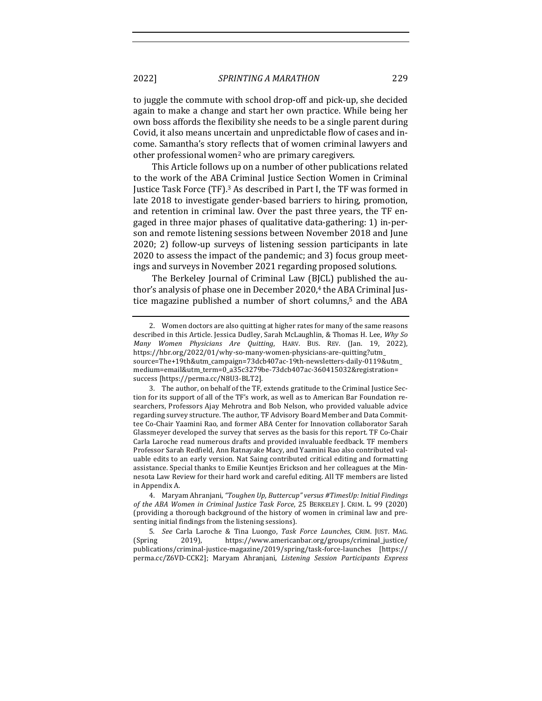to juggle the commute with school drop-off and pick-up, she decided again to make a change and start her own practice. While being her own boss affords the flexibility she needs to be a single parent during Covid, it also means uncertain and unpredictable flow of cases and income. Samantha's story reflects that of women criminal lawyers and other professional women<sup>2</sup> who are primary caregivers.

This Article follows up on a number of other publications related to the work of the ABA Criminal Justice Section Women in Criminal Justice Task Force (TF).<sup>3</sup> As described in Part I, the TF was formed in late 2018 to investigate gender-based barriers to hiring, promotion, and retention in criminal law. Over the past three years, the TF engaged in three major phases of qualitative data-gathering: 1) in-person and remote listening sessions between November 2018 and June 2020; 2) follow-up surveys of listening session participants in late 2020 to assess the impact of the pandemic; and 3) focus group meetings and surveys in November 2021 regarding proposed solutions.

The Berkeley Journal of Criminal Law (BJCL) published the author's analysis of phase one in December 2020,<sup>4</sup> the ABA Criminal Justice magazine published a number of short columns,<sup>5</sup> and the ABA

<sup>2.</sup> Women doctors are also quitting at higher rates for many of the same reasons described in this Article. Jessica Dudley, Sarah McLaughlin, & Thomas H. Lee, Why So *Many Women Physicians Are Quitting*, HARV. BUS. REV. (Jan. 19, 2022), https://hbr.org/2022/01/why-so-many-women-physicians-are-quitting?utm\_ source=The+19th&utm\_campaign=73dcb407ac-19th-newsletters-daily-0119&utm\_ medium=email&utm\_term=0\_a35c3279be-73dcb407ac-360415032&registration= success [https://perma.cc/N8U3-BLT2].

<sup>3.</sup> The author, on behalf of the TF, extends gratitude to the Criminal Justice Section for its support of all of the TF's work, as well as to American Bar Foundation researchers, Professors Ajay Mehrotra and Bob Nelson, who provided valuable advice regarding survey structure. The author, TF Advisory Board Member and Data Committee Co-Chair Yaamini Rao, and former ABA Center for Innovation collaborator Sarah Glassmeyer developed the survey that serves as the basis for this report. TF Co-Chair Carla Laroche read numerous drafts and provided invaluable feedback. TF members Professor Sarah Redfield, Ann Ratnayake Macy, and Yaamini Rao also contributed valuable edits to an early version. Nat Saing contributed critical editing and formatting assistance. Special thanks to Emilie Keuntjes Erickson and her colleagues at the Minnesota Law Review for their hard work and careful editing. All TF members are listed in Appendix A.

<sup>4.</sup> Maryam Ahranjani, "Toughen Up, Buttercup" versus #TimesUp: Initial Findings *of the ABA Women in Criminal Justice Task Force,* 25 BERKELEY J. CRIM. L. 99 (2020) (providing a thorough background of the history of women in criminal law and presenting initial findings from the listening sessions).

<sup>5</sup>*. See*  Carla Laroche & Tina Luongo, *Task Force Launches*, CRIM. JUST. MAG. (Spring 2019), https://www.americanbar.org/groups/criminal\_justice/ publications/criminal-justice-magazine/2019/spring/task-force-launches [https:// perma.cc/Z6VD-CCK2]; Maryam Ahranjani, *Listening Session Participants Express*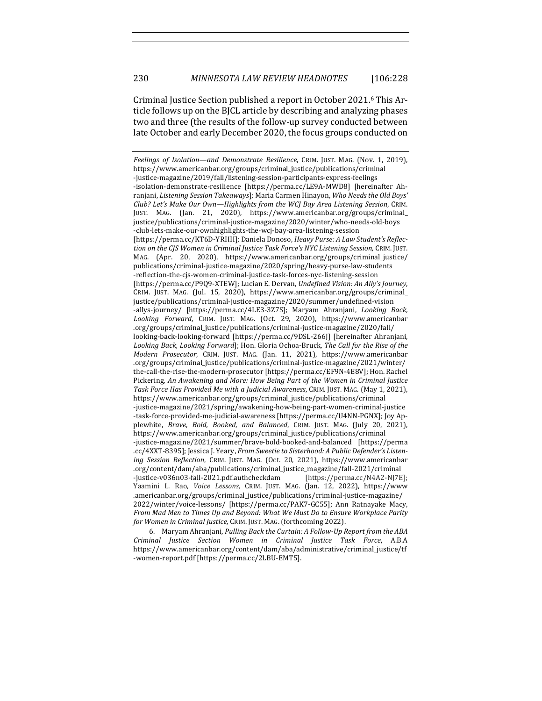Criminal Justice Section published a report in October 2021.<sup>6</sup> This Article follows up on the BJCL article by describing and analyzing phases two and three (the results of the follow-up survey conducted between late October and early December 2020, the focus groups conducted on

6. Maryam Ahranjani, *Pulling Back the Curtain: A Follow-Up Report from the ABA Criminal Justice Section Women in Criminal Justice Task Force*, A.B.A https://www.americanbar.org/content/dam/aba/administrative/criminal\_justice/tf -women-report.pdf [https://perma.cc/2LBU-EMT5].

*Feelings of Isolation—and Demonstrate Resilience*, CRIM. JUST. MAG. (Nov. 1, 2019), https://www.americanbar.org/groups/criminal\_justice/publications/criminal -justice-magazine/2019/fall/listening-session-participants-express-feelings -isolation-demonstrate-resilience [https://perma.cc/LE9A-MWD8] [hereinafter Ahranjani, *Listening Session Takeaways*]; Maria Carmen Hinayon, Who Needs the Old Boys' *Club? Let's Make Our Own—Highlights from the WCJ Bay Area Listening Session*, CRIM. JUST. MAG. (Jan. 21, 2020), https://www.americanbar.org/groups/criminal\_ justice/publications/criminal-justice-magazine/2020/winter/who-needs-old-boys -club-lets-make-our-ownhighlights-the-wcj-bay-area-listening-session [https://perma.cc/KT6D-YRHH]; Daniela Donoso, *Heavy Purse: A Law Student's Reflec*tion on the CJS Women in Criminal Justice Task Force's NYC Listening Session, CRIM. JUST. MAG. (Apr. 20, 2020), https://www.americanbar.org/groups/criminal\_justice/ publications/criminal-justice-magazine/2020/spring/heavy-purse-law-students -reflection-the-cjs-women-criminal-justice-task-forces-nyc-listening-session [https://perma.cc/P9Q9-XTEW]; Lucian E. Dervan, *Undefined Vision: An Ally's Journey*, CRIM. JUST. MAG. (Jul. 15, 2020), https://www.americanbar.org/groups/criminal\_ justice/publications/criminal-justice-magazine/2020/summer/undefined-vision -allys-journey/ [https://perma.cc/4LE3-3Z7S]; Maryam Ahranjani, *Looking Back*, *Looking Forward*, CRIM. JUST. MAG. (Oct. 29, 2020), https://www.americanbar .org/groups/criminal\_justice/publications/criminal-justice-magazine/2020/fall/ looking-back-looking-forward [https://perma.cc/9DSL-266]] [hereinafter Ahranjani, Looking Back, Looking Forward]; Hon. Gloria Ochoa-Bruck, The Call for the Rise of the *Modern Prosecutor*, CRIM. JUST. MAG. (Jan. 11, 2021), https://www.americanbar .org/groups/criminal\_justice/publications/criminal-justice-magazine/2021/winter/ the-call-the-rise-the-modern-prosecutor [https://perma.cc/EF9N-4E8V]; Hon. Rachel Pickering, An Awakening and More: How Being Part of the Women in Criminal Justice Task Force Has Provided Me with a Judicial Awareness, CRIM. JUST. MAG. (May 1, 2021), https://www.americanbar.org/groups/criminal\_justice/publications/criminal -justice-magazine/2021/spring/awakening-how-being-part-women-criminal-justice -task-force-provided-me-judicial-awareness [https://perma.cc/U4NN-PGNX]; [oy Applewhite, *Brave, Bold, Booked, and Balanced, CRIM. JUST. MAG. (July 20, 2021),* https://www.americanbar.org/groups/criminal\_justice/publications/criminal -justice-magazine/2021/summer/brave-bold-booked-and-balanced [https://perma .cc/4XXT-8395]; Jessica J. Yeary, *From Sweetie to Sisterhood: A Public Defender's Listening Session Reflection*, CRIM. JUST. MAG. (Oct. 20, 2021), https://www.americanbar .org/content/dam/aba/publications/criminal\_justice\_magazine/fall-2021/criminal -justice-v036n03-fall-2021.pdf.authcheckdam [https://perma.cc/N4A2-NJ7E]; Yaamini L. Rao, *Voice Lessons*, CRIM. JUST. MAG. (Jan. 12, 2022), https://www .americanbar.org/groups/criminal\_justice/publications/criminal-justice-magazine/ 2022/winter/voice-lessons/ [https://perma.cc/PAK7-GC55]; Ann Ratnayake Macy, *From Mad Men to Times Up and Beyond: What We Must Do to Ensure Workplace Parity* for Women in Criminal Justice, CRIM. JUST. MAG. (forthcoming 2022).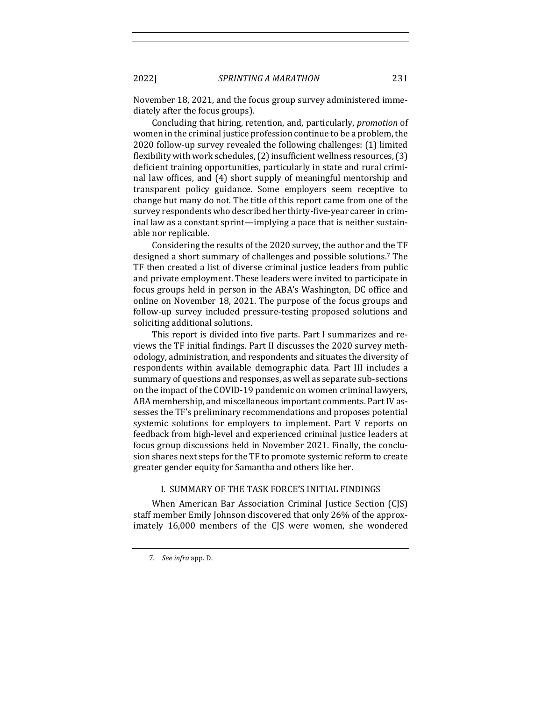November 18, 2021, and the focus group survey administered immediately after the focus groups).

Concluding that hiring, retention, and, particularly, *promotion* of women in the criminal justice profession continue to be a problem, the 2020 follow-up survey revealed the following challenges: (1) limited flexibility with work schedules,  $(2)$  insufficient wellness resources,  $(3)$ deficient training opportunities, particularly in state and rural criminal law offices, and (4) short supply of meaningful mentorship and transparent policy guidance. Some employers seem receptive to change but many do not. The title of this report came from one of the survey respondents who described her thirty-five-year career in criminal law as a constant sprint—implying a pace that is neither sustainable nor replicable.

Considering the results of the 2020 survey, the author and the TF designed a short summary of challenges and possible solutions.<sup>7</sup> The TF then created a list of diverse criminal justice leaders from public and private employment. These leaders were invited to participate in focus groups held in person in the ABA's Washington, DC office and online on November 18, 2021. The purpose of the focus groups and follow-up survey included pressure-testing proposed solutions and soliciting additional solutions.

This report is divided into five parts. Part I summarizes and reviews the TF initial findings. Part II discusses the 2020 survey methodology, administration, and respondents and situates the diversity of respondents within available demographic data. Part III includes a summary of questions and responses, as well as separate sub-sections on the impact of the COVID-19 pandemic on women criminal lawyers, ABA membership, and miscellaneous important comments. Part IV assesses the TF's preliminary recommendations and proposes potential systemic solutions for employers to implement. Part V reports on feedback from high-level and experienced criminal justice leaders at focus group discussions held in November 2021. Finally, the conclusion shares next steps for the TF to promote systemic reform to create greater gender equity for Samantha and others like her.

#### I. SUMMARY OF THE TASK FORCE**'**S INITIAL FINDINGS

When American Bar Association Criminal Justice Section (CJS) staff member Emily Johnson discovered that only 26% of the approximately 16,000 members of the CJS were women, she wondered

<sup>7</sup>*. See infra* app. D.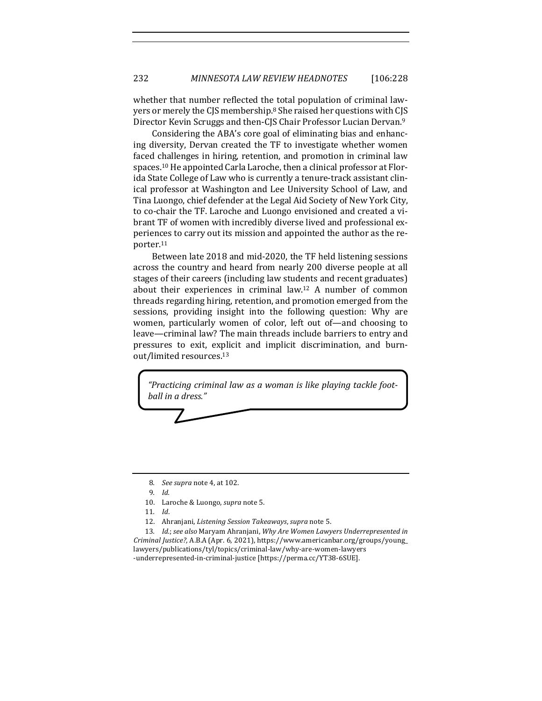whether that number reflected the total population of criminal lawyers or merely the CJS membership.<sup>8</sup> She raised her questions with CJS Director Kevin Scruggs and then-CJS Chair Professor Lucian Dervan.<sup>9</sup>

Considering the ABA's core goal of eliminating bias and enhancing diversity, Dervan created the TF to investigate whether women faced challenges in hiring, retention, and promotion in criminal law spaces.<sup>10</sup> He appointed Carla Laroche, then a clinical professor at Florida State College of Law who is currently a tenure-track assistant clinical professor at Washington and Lee University School of Law, and Tina Luongo, chief defender at the Legal Aid Society of New York City, to co-chair the TF. Laroche and Luongo envisioned and created a vibrant TF of women with incredibly diverse lived and professional experiences to carry out its mission and appointed the author as the reporter. 11

Between late 2018 and mid-2020, the TF held listening sessions across the country and heard from nearly 200 diverse people at all stages of their careers (including law students and recent graduates) about their experiences in criminal law.<sup>12</sup> A number of common threads regarding hiring, retention, and promotion emerged from the sessions, providing insight into the following question: Why are women, particularly women of color, left out of—and choosing to leave—criminal law? The main threads include barriers to entry and pressures to exit, explicit and implicit discrimination, and burnout/limited resources.<sup>13</sup>

"Practicing criminal law as a woman is like playing tackle foot*ball in a dress."*

<sup>8</sup>*. See supra* note 4, at 102.

<sup>9</sup>*. Id.*

<sup>10.</sup> Laroche & Luongo, *supra* note 5.

<sup>11</sup>*. Id*. 

<sup>12.</sup> Ahranjani, *Listening Session Takeaways*, *supra* note 5.

<sup>13.</sup> *Id.*; see also Maryam Ahranjani, Why Are Women Lawyers Underrepresented in *Criminal Justice?*, A.B.A (Apr. 6, 2021), https://www.americanbar.org/groups/young\_ lawyers/publications/tyl/topics/criminal-law/why-are-women-lawyers -underrepresented-in-criminal-justice [https://perma.cc/YT38-6SUE].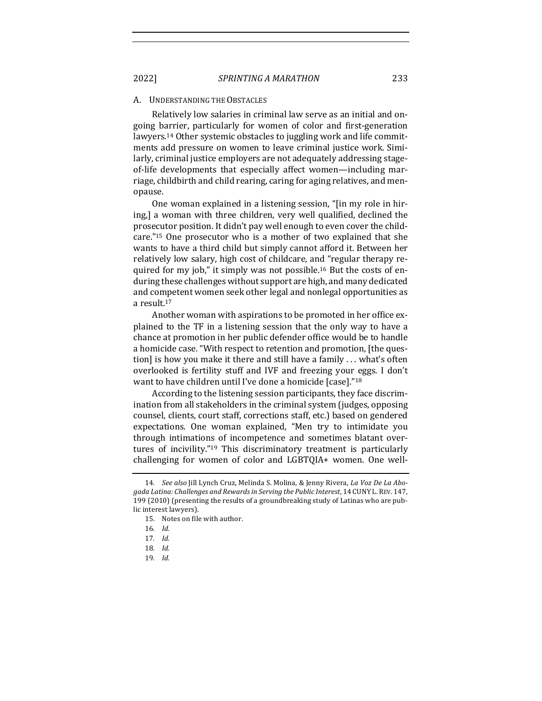#### A. UNDERSTANDING THE OBSTACLES

Relatively low salaries in criminal law serve as an initial and ongoing barrier, particularly for women of color and first-generation lawyers.<sup>14</sup> Other systemic obstacles to juggling work and life commitments add pressure on women to leave criminal justice work. Similarly, criminal justice employers are not adequately addressing stageof-life developments that especially affect women—including marriage, childbirth and child rearing, caring for aging relatives, and menopause. 

One woman explained in a listening session, "[in my role in hiring,] a woman with three children, very well qualified, declined the prosecutor position. It didn't pay well enough to even cover the childcare."<sup>15</sup> One prosecutor who is a mother of two explained that she wants to have a third child but simply cannot afford it. Between her relatively low salary, high cost of childcare, and "regular therapy required for my job," it simply was not possible.<sup>16</sup> But the costs of enduring these challenges without support are high, and many dedicated and competent women seek other legal and nonlegal opportunities as a result.<sup>17</sup>

Another woman with aspirations to be promoted in her office explained to the TF in a listening session that the only way to have a chance at promotion in her public defender office would be to handle a homicide case. "With respect to retention and promotion, [the question] is how you make it there and still have a family  $\dots$  what's often overlooked is fertility stuff and IVF and freezing your eggs. I don't want to have children until I've done a homicide  $[case]."^{18}$ 

According to the listening session participants, they face discrimination from all stakeholders in the criminal system (judges, opposing counsel, clients, court staff, corrections staff, etc.) based on gendered expectations. One woman explained, "Men try to intimidate you through intimations of incompetence and sometimes blatant overtures of incivility."<sup>19</sup> This discriminatory treatment is particularly challenging for women of color and  $LGBTQIA+$  women. One well-

<sup>14.</sup> See also Jill Lynch Cruz, Melinda S. Molina, & Jenny Rivera, *La Voz De La Abo*gada Latina: Challenges and Rewards in Serving the Public Interest, 14 CUNY L. REV. 147, 199 (2010) (presenting the results of a groundbreaking study of Latinas who are public interest lawyers).

<sup>15.</sup> Notes on file with author.

<sup>16</sup>*. Id.*

<sup>17</sup>*. Id.*

<sup>18</sup>*. Id.*

<sup>19</sup>*. Id.*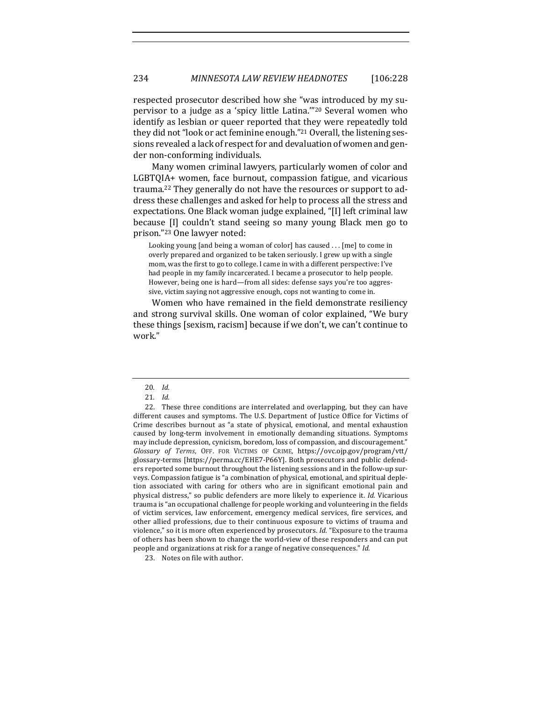respected prosecutor described how she "was introduced by my supervisor to a judge as a 'spicy little Latina."<sup>20</sup> Several women who identify as lesbian or queer reported that they were repeatedly told they did not "look or act feminine enough."<sup>21</sup> Overall, the listening sessions revealed a lack of respect for and devaluation of women and gender non-conforming individuals.

Many women criminal lawyers, particularly women of color and LGBTQIA+ women, face burnout, compassion fatigue, and vicarious trauma.<sup>22</sup> They generally do not have the resources or support to address these challenges and asked for help to process all the stress and expectations. One Black woman judge explained, "[I] left criminal law because [I] couldn't stand seeing so many young Black men go to prison."<sup>23</sup> One lawyer noted:

Looking young [and being a woman of color] has caused  $\dots$  [me] to come in overly prepared and organized to be taken seriously. I grew up with a single mom, was the first to go to college. I came in with a different perspective: I've had people in my family incarcerated. I became a prosecutor to help people. However, being one is hard—from all sides: defense says you're too aggressive, victim saying not aggressive enough, cops not wanting to come in.

Women who have remained in the field demonstrate resiliency and strong survival skills. One woman of color explained, "We bury these things [sexism, racism] because if we don't, we can't continue to work." 

23. Notes on file with author.

<sup>20</sup>*. Id.*

<sup>21</sup>*. Id.*

<sup>22.</sup> These three conditions are interrelated and overlapping, but they can have different causes and symptoms. The U.S. Department of Justice Office for Victims of Crime describes burnout as "a state of physical, emotional, and mental exhaustion caused by long-term involvement in emotionally demanding situations. Symptoms may include depression, cynicism, boredom, loss of compassion, and discouragement." *Glossary of Terms*, OFF. FOR VICTIMS OF CRIME, https://ovc.ojp.gov/program/vtt/ glossary-terms [https://perma.cc/EHE7-P66Y]. Both prosecutors and public defenders reported some burnout throughout the listening sessions and in the follow-up surveys. Compassion fatigue is "a combination of physical, emotional, and spiritual depletion associated with caring for others who are in significant emotional pain and physical distress," so public defenders are more likely to experience it. *Id.* Vicarious trauma is "an occupational challenge for people working and volunteering in the fields of victim services, law enforcement, emergency medical services, fire services, and other allied professions, due to their continuous exposure to victims of trauma and violence," so it is more often experienced by prosecutors. *Id.* "Exposure to the trauma of others has been shown to change the world-view of these responders and can put people and organizations at risk for a range of negative consequences." Id.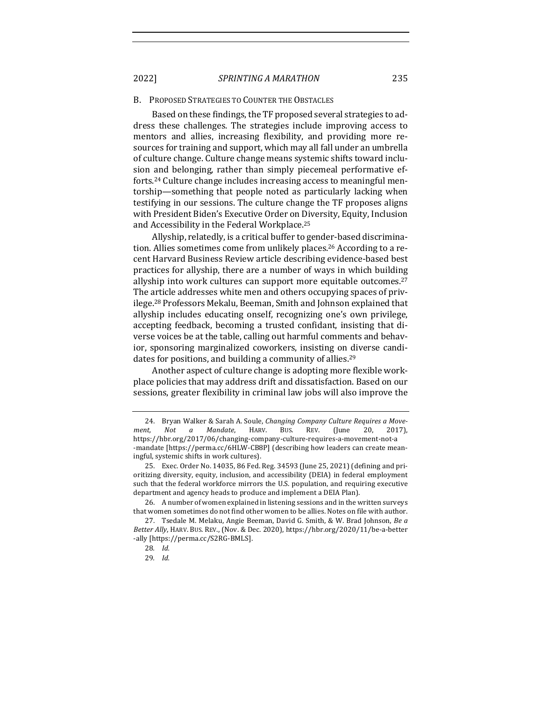#### B. PROPOSED STRATEGIES TO COUNTER THE OBSTACLES

Based on these findings, the TF proposed several strategies to address these challenges. The strategies include improving access to mentors and allies, increasing flexibility, and providing more resources for training and support, which may all fall under an umbrella of culture change. Culture change means systemic shifts toward inclusion and belonging, rather than simply piecemeal performative efforts.<sup>24</sup> Culture change includes increasing access to meaningful mentorship—something that people noted as particularly lacking when testifying in our sessions. The culture change the TF proposes aligns with President Biden's Executive Order on Diversity, Equity, Inclusion and Accessibility in the Federal Workplace.<sup>25</sup>

Allyship, relatedly, is a critical buffer to gender-based discrimination. Allies sometimes come from unlikely places.<sup>26</sup> According to a recent Harvard Business Review article describing evidence-based best practices for allyship, there are a number of ways in which building allyship into work cultures can support more equitable outcomes. $27$ The article addresses white men and others occupying spaces of privilege.<sup>28</sup> Professors Mekalu, Beeman, Smith and Johnson explained that allyship includes educating onself, recognizing one's own privilege, accepting feedback, becoming a trusted confidant, insisting that diverse voices be at the table, calling out harmful comments and behavior, sponsoring marginalized coworkers, insisting on diverse candidates for positions, and building a community of allies.<sup>29</sup>

Another aspect of culture change is adopting more flexible workplace policies that may address drift and dissatisfaction. Based on our sessions, greater flexibility in criminal law jobs will also improve the

<sup>24.</sup> Bryan Walker & Sarah A. Soule, *Changing Company Culture Requires a Move*ment, Not a Mandate, HARV. BUS. REV. (June 20, 2017), https://hbr.org/2017/06/changing-company-culture-requires-a-movement-not-a -mandate [https://perma.cc/6HLW-CB8P] (describing how leaders can create meaningful, systemic shifts in work cultures).

<sup>25.</sup> Exec. Order No. 14035, 86 Fed. Reg. 34593 (June 25, 2021) (defining and prioritizing diversity, equity, inclusion, and accessibility (DEIA) in federal employment such that the federal workforce mirrors the U.S. population, and requiring executive department and agency heads to produce and implement a DEIA Plan).

<sup>26.</sup> A number of women explained in listening sessions and in the written surveys that women sometimes do not find other women to be allies. Notes on file with author.

<sup>27.</sup> Tsedale M. Melaku, Angie Beeman, David G. Smith, & W. Brad Johnson, Be a Better Ally, HARV. BUS. REV., (Nov. & Dec. 2020), https://hbr.org/2020/11/be-a-better -ally [https://perma.cc/S2RG-BMLS]. 

<sup>28</sup>*. Id.*

<sup>29</sup>*. Id.*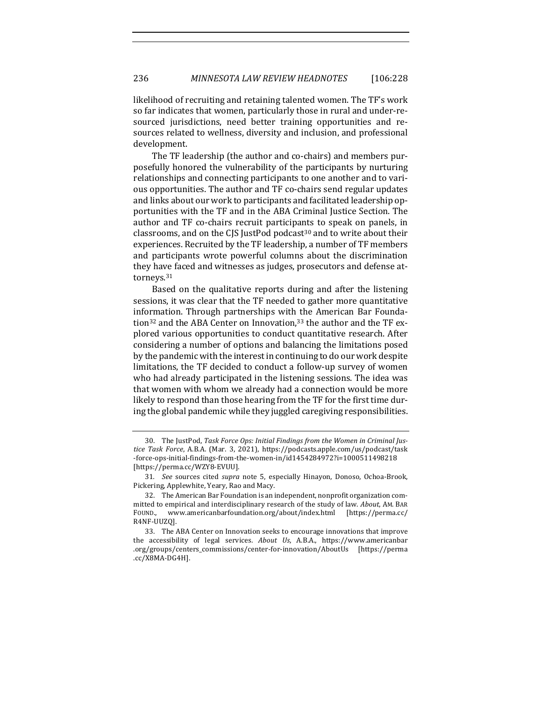likelihood of recruiting and retaining talented women. The TF's work so far indicates that women, particularly those in rural and under-resourced jurisdictions, need better training opportunities and resources related to wellness, diversity and inclusion, and professional development. 

The TF leadership (the author and co-chairs) and members purposefully honored the vulnerability of the participants by nurturing relationships and connecting participants to one another and to various opportunities. The author and TF co-chairs send regular updates and links about our work to participants and facilitated leadership opportunities with the TF and in the ABA Criminal Justice Section. The author and TF co-chairs recruit participants to speak on panels, in classrooms, and on the CJS JustPod podcast<sup>30</sup> and to write about their experiences. Recruited by the TF leadership, a number of TF members and participants wrote powerful columns about the discrimination they have faced and witnesses as judges, prosecutors and defense attorneys.31

Based on the qualitative reports during and after the listening sessions, it was clear that the TF needed to gather more quantitative information. Through partnerships with the American Bar Foundation<sup>32</sup> and the ABA Center on Innovation,<sup>33</sup> the author and the TF explored various opportunities to conduct quantitative research. After considering a number of options and balancing the limitations posed by the pandemic with the interest in continuing to do our work despite limitations, the TF decided to conduct a follow-up survey of women who had already participated in the listening sessions. The idea was that women with whom we already had a connection would be more likely to respond than those hearing from the TF for the first time during the global pandemic while they juggled caregiving responsibilities.

<sup>30.</sup> The JustPod, Task Force Ops: Initial Findings from the Women in Criminal Jus*tice Task Force*, A.B.A. (Mar. 3, 2021), https://podcasts.apple.com/us/podcast/task -force-ops-initial-findings-from-the-women-in/id1454284972?i=1000511498218 [https://perma.cc/WZY8-EVUU].

<sup>31.</sup> *See* sources cited *supra* note 5, especially Hinayon, Donoso, Ochoa-Brook, Pickering, Applewhite, Yeary, Rao and Macy.

<sup>32.</sup> The American Bar Foundation is an independent, nonprofit organization committed to empirical and interdisciplinary research of the study of law. *About*, AM. BAR FOUND., www.americanbarfoundation.org/about/index.html [https://perma.cc/ R4NF-UUZQ]. 

<sup>33.</sup> The ABA Center on Innovation seeks to encourage innovations that improve the accessibility of legal services. About Us, A.B.A., https://www.americanbar .org/groups/centers\_commissions/center-for-innovation/AboutUs [https://perma .cc/X8MA-DG4H].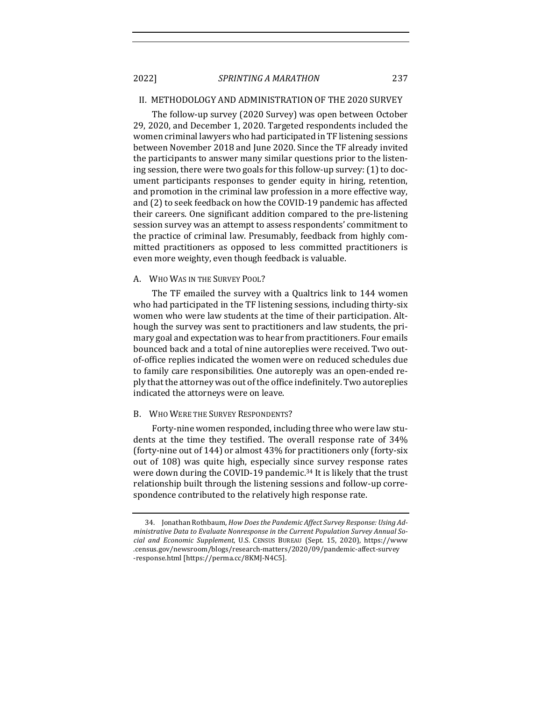#### II. METHODOLOGY AND ADMINISTRATION OF THE 2020 SURVEY

The follow-up survey (2020 Survey) was open between October 29, 2020, and December 1, 2020. Targeted respondents included the women criminal lawyers who had participated in TF listening sessions between November 2018 and June 2020. Since the TF already invited the participants to answer many similar questions prior to the listening session, there were two goals for this follow-up survey: (1) to document participants responses to gender equity in hiring, retention, and promotion in the criminal law profession in a more effective way, and (2) to seek feedback on how the COVID-19 pandemic has affected their careers. One significant addition compared to the pre-listening session survey was an attempt to assess respondents' commitment to the practice of criminal law. Presumably, feedback from highly committed practitioners as opposed to less committed practitioners is even more weighty, even though feedback is valuable.

#### A. WHO WAS IN THE SURVEY POOL?

The TF emailed the survey with a Qualtrics link to 144 women who had participated in the TF listening sessions, including thirty-six women who were law students at the time of their participation. Although the survey was sent to practitioners and law students, the primary goal and expectation was to hear from practitioners. Four emails bounced back and a total of nine autoreplies were received. Two outof-office replies indicated the women were on reduced schedules due to family care responsibilities. One autoreply was an open-ended reply that the attorney was out of the office indefinitely. Two autoreplies indicated the attorneys were on leave.

#### B. WHO WERE THE SURVEY RESPONDENTS?

Forty-nine women responded, including three who were law students at the time they testified. The overall response rate of 34% (forty-nine out of  $144$ ) or almost  $43\%$  for practitioners only (forty-six out of 108) was quite high, especially since survey response rates were down during the COVID-19 pandemic.<sup>34</sup> It is likely that the trust relationship built through the listening sessions and follow-up correspondence contributed to the relatively high response rate.

<sup>34.</sup> Jonathan Rothbaum, *How Does the Pandemic Affect Survey Response: Using Administrative Data to Evaluate Nonresponse in the Current Population Survey Annual Social and Economic Supplement*, U.S. CENSUS BUREAU (Sept. 15, 2020), https://www .census.gov/newsroom/blogs/research-matters/2020/09/pandemic-affect-survey -response.html [https://perma.cc/8KMJ-N4C5].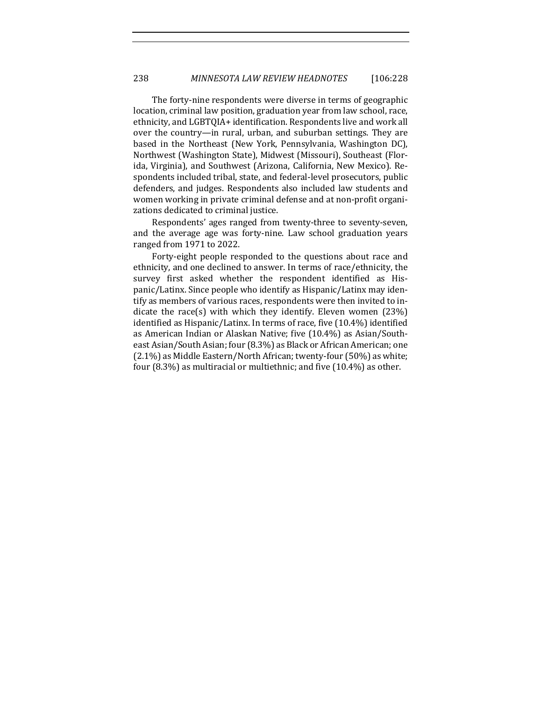The forty-nine respondents were diverse in terms of geographic location, criminal law position, graduation year from law school, race, ethnicity, and LGBTQIA+ identification. Respondents live and work all over the country—in rural, urban, and suburban settings. They are based in the Northeast (New York, Pennsylvania, Washington DC), Northwest (Washington State), Midwest (Missouri), Southeast (Florida, Virginia), and Southwest (Arizona, California, New Mexico). Respondents included tribal, state, and federal-level prosecutors, public defenders, and judges. Respondents also included law students and women working in private criminal defense and at non-profit organizations dedicated to criminal justice.

Respondents' ages ranged from twenty-three to seventy-seven, and the average age was forty-nine. Law school graduation years ranged from 1971 to 2022.

Forty-eight people responded to the questions about race and ethnicity, and one declined to answer. In terms of race/ethnicity, the survey first asked whether the respondent identified as Hispanic/Latinx. Since people who identify as Hispanic/Latinx may identify as members of various races, respondents were then invited to indicate the race(s) with which they identify. Eleven women  $(23%)$ identified as Hispanic/Latinx. In terms of race, five (10.4%) identified as American Indian or Alaskan Native; five (10.4%) as Asian/Southeast Asian/South Asian; four (8.3%) as Black or African American; one  $(2.1\%)$  as Middle Eastern/North African; twenty-four  $(50\%)$  as white; four  $(8.3\%)$  as multiracial or multiethnic; and five  $(10.4\%)$  as other.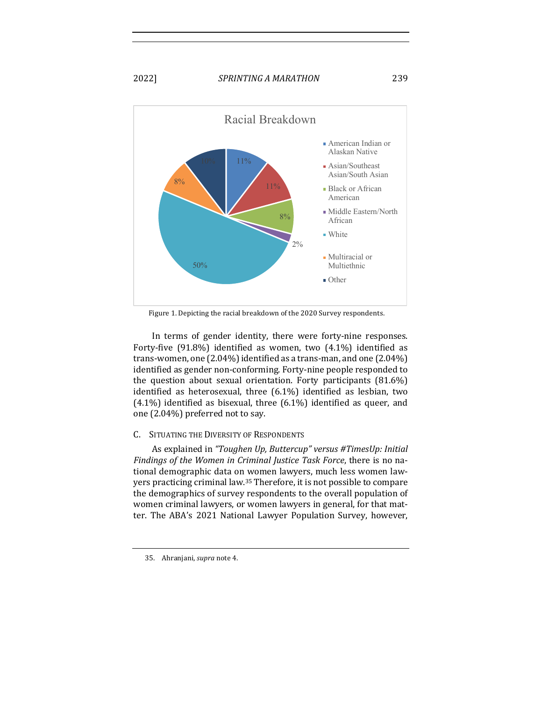

Figure 1. Depicting the racial breakdown of the 2020 Survey respondents.

In terms of gender identity, there were forty-nine responses. Forty-five  $(91.8\%)$  identified as women, two  $(4.1\%)$  identified as trans-women, one  $(2.04\%)$  identified as a trans-man, and one  $(2.04\%)$ identified as gender non-conforming. Forty-nine people responded to the question about sexual orientation. Forty participants  $(81.6\%)$ identified as heterosexual, three  $(6.1\%)$  identified as lesbian, two  $(4.1\%)$  identified as bisexual, three  $(6.1\%)$  identified as queer, and one (2.04%) preferred not to say.

#### C. SITUATING THE DIVERSITY OF RESPONDENTS

As explained in "Toughen Up, Buttercup" versus #TimesUp: Initial Findings of the Women in Criminal Justice Task Force, there is no national demographic data on women lawyers, much less women lawyers practicing criminal law.<sup>35</sup> Therefore, it is not possible to compare the demographics of survey respondents to the overall population of women criminal lawyers, or women lawyers in general, for that matter. The ABA's 2021 National Lawyer Population Survey, however,

<sup>35.</sup> Ahranjani, *supra* note 4.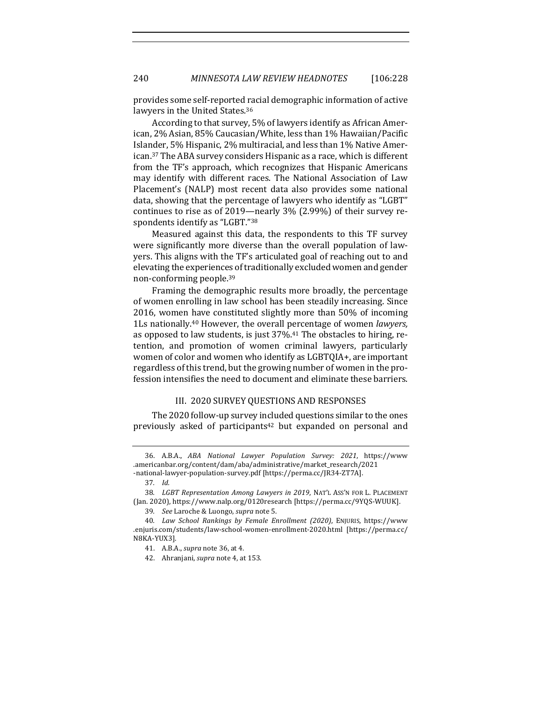provides some self-reported racial demographic information of active lawyers in the United States.<sup>36</sup>

According to that survey, 5% of lawyers identify as African American, 2% Asian, 85% Caucasian/White, less than 1% Hawaiian/Pacific Islander, 5% Hispanic, 2% multiracial, and less than 1% Native American.<sup>37</sup> The ABA survey considers Hispanic as a race, which is different from the TF's approach, which recognizes that Hispanic Americans may identify with different races. The National Association of Law Placement's (NALP) most recent data also provides some national data, showing that the percentage of lawyers who identify as "LGBT" continues to rise as of 2019—nearly  $3\%$  (2.99%) of their survey respondents identify as "LGBT."38

Measured against this data, the respondents to this TF survey were significantly more diverse than the overall population of lawyers. This aligns with the TF's articulated goal of reaching out to and elevating the experiences of traditionally excluded women and gender non-conforming people.<sup>39</sup>

Framing the demographic results more broadly, the percentage of women enrolling in law school has been steadily increasing. Since 2016, women have constituted slightly more than  $50\%$  of incoming 1Ls nationally.<sup>40</sup> However, the overall percentage of women *lawyers*, as opposed to law students, is just  $37\%$ .<sup>41</sup> The obstacles to hiring, retention, and promotion of women criminal lawyers, particularly women of color and women who identify as LGBTQIA+, are important regardless of this trend, but the growing number of women in the profession intensifies the need to document and eliminate these barriers.

#### III. 2020 SURVEY OUESTIONS AND RESPONSES

The 2020 follow-up survey included questions similar to the ones previously asked of participants<sup>42</sup> but expanded on personal and

<sup>36.</sup> A.B.A., *ABA National Lawyer Population Survey: 2021*, https://www .americanbar.org/content/dam/aba/administrative/market\_research/2021 -national-lawyer-population-survey.pdf [https://perma.cc/JR34-ZT7A].

<sup>37</sup>*. Id.*

<sup>38.</sup> LGBT Representation Among Lawyers in 2019, NAT'L ASS'N FOR L. PLACEMENT (Jan. 2020), https://www.nalp.org/0120research [https://perma.cc/9YQS-WUUK].

<sup>39</sup>*. See* Laroche & Luongo, *supra* note 5.

<sup>40</sup>*. Law School Rankings by Female Enrollment (2020)*, ENJURIS, https://www .enjuris.com/students/law-school-women-enrollment-2020.html [https://perma.cc/ N8KA-YUX3]. 

<sup>41.</sup> A.B.A., *supra* note 36, at 4.

<sup>42.</sup> Ahranjani, *supra* note 4, at 153.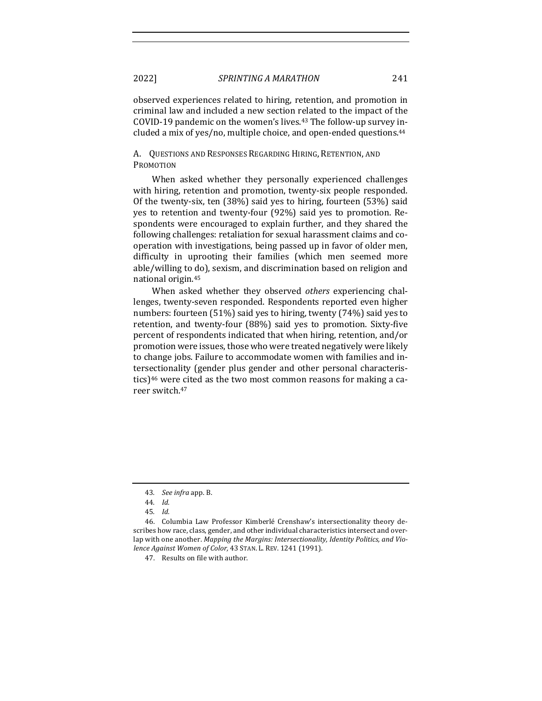observed experiences related to hiring, retention, and promotion in criminal law and included a new section related to the impact of the COVID-19 pandemic on the women's lives.<sup>43</sup> The follow-up survey included a mix of yes/no, multiple choice, and open-ended questions. $44$ 

A. QUESTIONS AND RESPONSES REGARDING HIRING, RETENTION, AND PROMOTION

When asked whether they personally experienced challenges with hiring, retention and promotion, twenty-six people responded. Of the twenty-six, ten  $(38%)$  said yes to hiring, fourteen  $(53%)$  said yes to retention and twenty-four (92%) said yes to promotion. Respondents were encouraged to explain further, and they shared the following challenges: retaliation for sexual harassment claims and cooperation with investigations, being passed up in favor of older men, difficulty in uprooting their families (which men seemed more able/willing to do), sexism, and discrimination based on religion and national origin.<sup>45</sup>

When asked whether they observed *others* experiencing challenges, twenty-seven responded. Respondents reported even higher numbers: fourteen  $(51\%)$  said yes to hiring, twenty  $(74\%)$  said yes to retention, and twenty-four (88%) said yes to promotion. Sixty-five percent of respondents indicated that when hiring, retention, and/or promotion were issues, those who were treated negatively were likely to change jobs. Failure to accommodate women with families and intersectionality (gender plus gender and other personal characteristics)<sup>46</sup> were cited as the two most common reasons for making a career switch.<sup>47</sup>

<sup>43</sup>*. See infra* app. B.

<sup>44</sup>*. Id.*

<sup>45</sup>*. Id.*

<sup>46.</sup> Columbia Law Professor Kimberlé Crenshaw's intersectionality theory describes how race, class, gender, and other individual characteristics intersect and overlap with one another. *Mapping the Margins: Intersectionality, Identity Politics, and Violence Against Women of Color, 43 STAN. L. REV. 1241 (1991).* 

<sup>47.</sup> Results on file with author.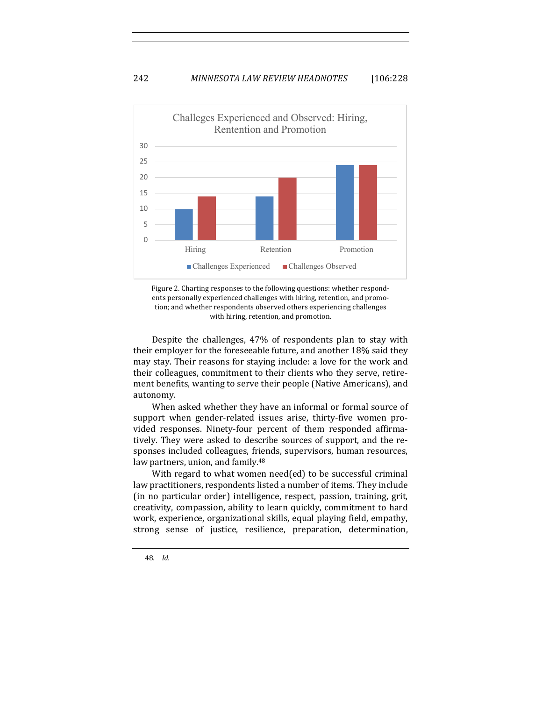

Figure 2. Charting responses to the following questions: whether respondents personally experienced challenges with hiring, retention, and promotion; and whether respondents observed others experiencing challenges with hiring, retention, and promotion.

Despite the challenges, 47% of respondents plan to stay with their employer for the foreseeable future, and another 18% said they may stay. Their reasons for staying include: a love for the work and their colleagues, commitment to their clients who they serve, retirement benefits, wanting to serve their people (Native Americans), and autonomy. 

When asked whether they have an informal or formal source of support when gender-related issues arise, thirty-five women provided responses. Ninety-four percent of them responded affirmatively. They were asked to describe sources of support, and the responses included colleagues, friends, supervisors, human resources, law partners, union, and family.<sup>48</sup>

With regard to what women need(ed) to be successful criminal law practitioners, respondents listed a number of items. They include (in no particular order) intelligence, respect, passion, training, grit, creativity, compassion, ability to learn quickly, commitment to hard work, experience, organizational skills, equal playing field, empathy, strong sense of justice, resilience, preparation, determination,

<sup>48</sup>*. Id.*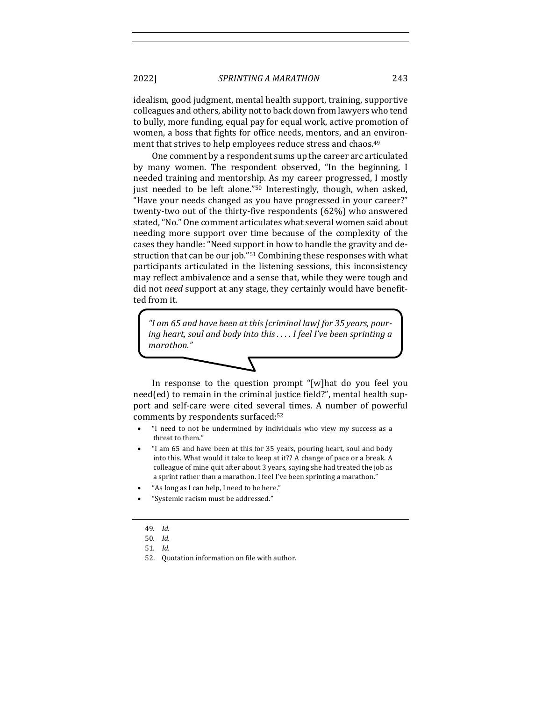idealism, good judgment, mental health support, training, supportive colleagues and others, ability not to back down from lawyers who tend to bully, more funding, equal pay for equal work, active promotion of women, a boss that fights for office needs, mentors, and an environment that strives to help employees reduce stress and chaos.<sup>49</sup>

One comment by a respondent sums up the career arc articulated by many women. The respondent observed, "In the beginning, I needed training and mentorship. As my career progressed, I mostly just needed to be left alone."<sup>50</sup> Interestingly, though, when asked, "Have your needs changed as you have progressed in your career?" twenty-two out of the thirty-five respondents  $(62%)$  who answered stated, "No." One comment articulates what several women said about needing more support over time because of the complexity of the cases they handle: "Need support in how to handle the gravity and destruction that can be our job." $51$  Combining these responses with what participants articulated in the listening sessions, this inconsistency may reflect ambivalence and a sense that, while they were tough and did not *need* support at any stage, they certainly would have benefitted from it.

"I am 65 and have been at this [criminal law] for 35 years, pour*ing heart, soul and body into this .... I feel I've been sprinting a marathon."*

In response to the question prompt "[w]hat do you feel you  $need(ed)$  to remain in the criminal justice field?", mental health support and self-care were cited several times. A number of powerful comments by respondents surfaced:<sup>52</sup>

- "I need to not be undermined by individuals who view my success as a threat to them."
- "I am 65 and have been at this for 35 years, pouring heart, soul and body into this. What would it take to keep at it?? A change of pace or a break. A colleague of mine quit after about 3 years, saying she had treated the job as a sprint rather than a marathon. I feel I've been sprinting a marathon."
- "As long as I can help, I need to be here."
- "Systemic racism must be addressed."

<sup>49</sup>*. Id.*

<sup>50</sup>*. Id.*

<sup>51</sup>*. Id.*

<sup>52.</sup> Quotation information on file with author.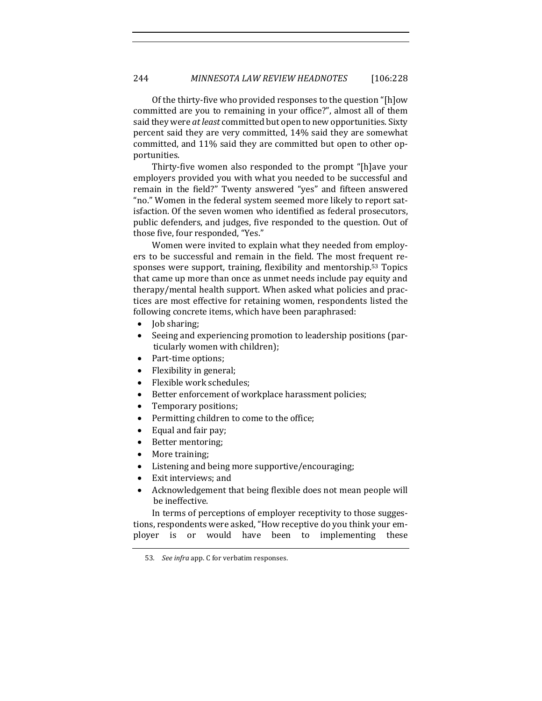Of the thirty-five who provided responses to the question "[h]ow committed are you to remaining in your office?", almost all of them said they were at least committed but open to new opportunities. Sixty percent said they are very committed, 14% said they are somewhat committed, and 11% said they are committed but open to other opportunities. 

Thirty-five women also responded to the prompt "[h]ave your employers provided you with what you needed to be successful and remain in the field?" Twenty answered "yes" and fifteen answered "no." Women in the federal system seemed more likely to report satisfaction. Of the seven women who identified as federal prosecutors, public defenders, and judges, five responded to the question. Out of those five, four responded, "Yes."

Women were invited to explain what they needed from employers to be successful and remain in the field. The most frequent responses were support, training, flexibility and mentorship.<sup>53</sup> Topics that came up more than once as unmet needs include pay equity and therapy/mental health support. When asked what policies and practices are most effective for retaining women, respondents listed the following concrete items, which have been paraphrased:

- Job sharing;
- Seeing and experiencing promotion to leadership positions (particularly women with children);
- Part-time options;
- $\bullet$  Flexibility in general;
- Flexible work schedules;
- Better enforcement of workplace harassment policies;
- Temporary positions;
- Permitting children to come to the office;
- Equal and fair pay;
- Better mentoring;
- More training;
- Listening and being more supportive/encouraging;
- Exit interviews; and
- Acknowledgement that being flexible does not mean people will be ineffective.

In terms of perceptions of employer receptivity to those suggestions, respondents were asked, "How receptive do you think your employer is or would have been to implementing these

<sup>53.</sup> See *infra* app. C for verbatim responses.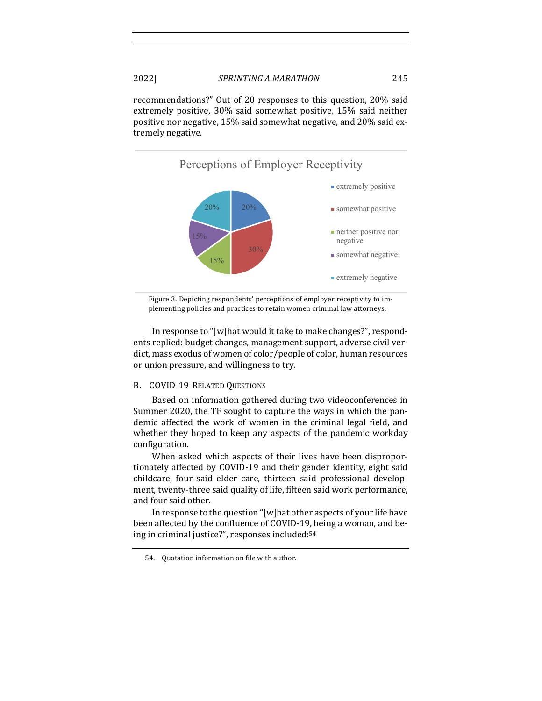recommendations?" Out of 20 responses to this question, 20% said extremely positive, 30% said somewhat positive, 15% said neither positive nor negative, 15% said somewhat negative, and 20% said extremely negative.



Figure 3. Depicting respondents' perceptions of employer receptivity to implementing policies and practices to retain women criminal law attorneys.

In response to "[w]hat would it take to make changes?", respondents replied: budget changes, management support, adverse civil verdict, mass exodus of women of color/people of color, human resources or union pressure, and willingness to try.

#### B. COVID-19-RELATED QUESTIONS

Based on information gathered during two videoconferences in Summer 2020, the TF sought to capture the ways in which the pandemic affected the work of women in the criminal legal field, and whether they hoped to keep any aspects of the pandemic workday configuration. 

When asked which aspects of their lives have been disproportionately affected by COVID-19 and their gender identity, eight said childcare, four said elder care, thirteen said professional development, twenty-three said quality of life, fifteen said work performance, and four said other.

In response to the question "[w]hat other aspects of your life have been affected by the confluence of COVID-19, being a woman, and being in criminal justice?", responses included:<sup>54</sup>

<sup>54.</sup> Quotation information on file with author.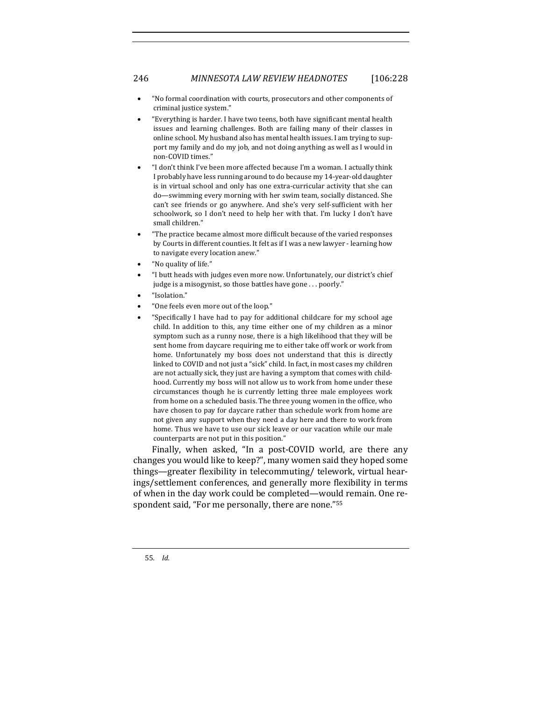- "No formal coordination with courts, prosecutors and other components of criminal justice system."
- "Everything is harder. I have two teens, both have significant mental health issues and learning challenges. Both are failing many of their classes in online school. My husband also has mental health issues. I am trying to support my family and do my job, and not doing anything as well as I would in non-COVID times."
- "I don't think I've been more affected because I'm a woman. I actually think I probably have less running around to do because my 14-year-old daughter is in virtual school and only has one extra-curricular activity that she can do-swimming every morning with her swim team, socially distanced. She can't see friends or go anywhere. And she's very self-sufficient with her schoolwork, so I don't need to help her with that. I'm lucky I don't have small children."
- "The practice became almost more difficult because of the varied responses by Courts in different counties. It felt as if I was a new lawyer - learning how to navigate every location anew."
- "No quality of life."
- "I butt heads with judges even more now. Unfortunately, our district's chief judge is a misogynist, so those battles have gone  $\dots$  poorly."
- "Isolation."
- "One feels even more out of the loop."
- "Specifically I have had to pay for additional childcare for my school age child. In addition to this, any time either one of my children as a minor symptom such as a runny nose, there is a high likelihood that they will be sent home from daycare requiring me to either take off work or work from home. Unfortunately my boss does not understand that this is directly linked to COVID and not just a "sick" child. In fact, in most cases my children are not actually sick, they just are having a symptom that comes with childhood. Currently my boss will not allow us to work from home under these circumstances though he is currently letting three male employees work from home on a scheduled basis. The three young women in the office, who have chosen to pay for daycare rather than schedule work from home are not given any support when they need a day here and there to work from home. Thus we have to use our sick leave or our vacation while our male counterparts are not put in this position."

Finally, when asked, "In a post-COVID world, are there any changes you would like to keep?", many women said they hoped some things—greater flexibility in telecommuting/ telework, virtual hearings/settlement conferences, and generally more flexibility in terms of when in the day work could be completed—would remain. One respondent said, "For me personally, there are none."<sup>55</sup>

55*. Id.*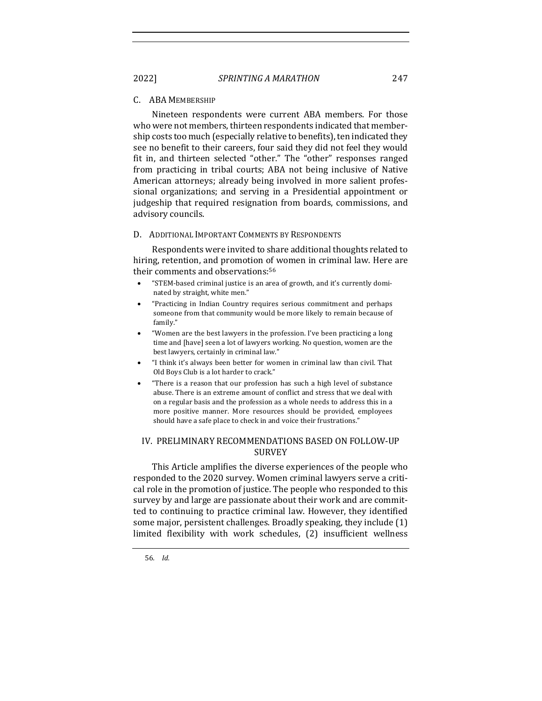# C. ABA MEMBERSHIP

Nineteen respondents were current ABA members. For those who were not members, thirteen respondents indicated that membership costs too much (especially relative to benefits), ten indicated they see no benefit to their careers, four said they did not feel they would fit in, and thirteen selected "other." The "other" responses ranged from practicing in tribal courts; ABA not being inclusive of Native American attorneys; already being involved in more salient professional organizations; and serving in a Presidential appointment or judgeship that required resignation from boards, commissions, and advisory councils.

#### D. ADDITIONAL IMPORTANT COMMENTS BY RESPONDENTS

Respondents were invited to share additional thoughts related to hiring, retention, and promotion of women in criminal law. Here are their comments and observations:<sup>56</sup>

- "STEM-based criminal justice is an area of growth, and it's currently dominated by straight, white men."
- "Practicing in Indian Country requires serious commitment and perhaps someone from that community would be more likely to remain because of family."
- "Women are the best lawyers in the profession. I've been practicing a long time and [have] seen a lot of lawyers working. No question, women are the best lawyers, certainly in criminal law."
- "I think it's always been better for women in criminal law than civil. That Old Boys Club is a lot harder to crack."
- "There is a reason that our profession has such a high level of substance abuse. There is an extreme amount of conflict and stress that we deal with on a regular basis and the profession as a whole needs to address this in a more positive manner. More resources should be provided, employees should have a safe place to check in and voice their frustrations."

#### IV. PRELIMINARY RECOMMENDATIONS BASED ON FOLLOW-UP **SURVEY**

This Article amplifies the diverse experiences of the people who responded to the 2020 survey. Women criminal lawyers serve a critical role in the promotion of justice. The people who responded to this survey by and large are passionate about their work and are committed to continuing to practice criminal law. However, they identified some major, persistent challenges. Broadly speaking, they include  $(1)$ limited flexibility with work schedules, (2) insufficient wellness

56*. Id.*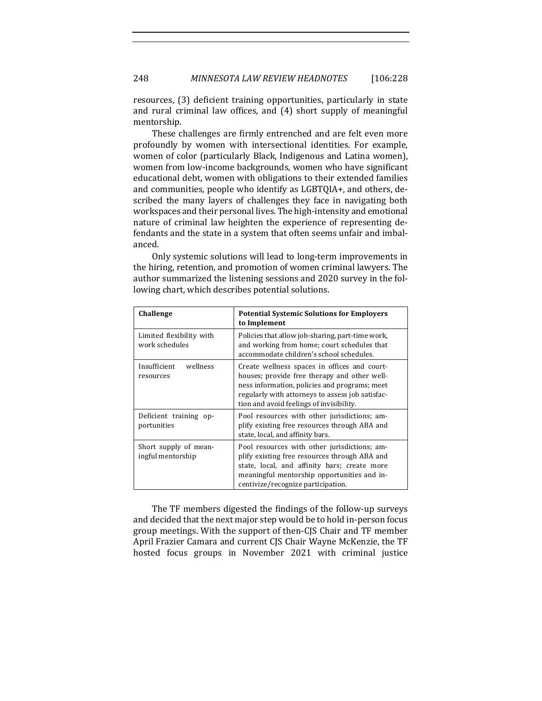resources, (3) deficient training opportunities, particularly in state and rural criminal law offices, and  $(4)$  short supply of meaningful mentorship. 

These challenges are firmly entrenched and are felt even more profoundly by women with intersectional identities. For example, women of color (particularly Black, Indigenous and Latina women), women from low-income backgrounds, women who have significant educational debt, women with obligations to their extended families and communities, people who identify as LGBTQIA+, and others, described the many layers of challenges they face in navigating both workspaces and their personal lives. The high-intensity and emotional nature of criminal law heighten the experience of representing defendants and the state in a system that often seems unfair and imbalanced.

Only systemic solutions will lead to long-term improvements in the hiring, retention, and promotion of women criminal lawyers. The author summarized the listening sessions and 2020 survey in the following chart, which describes potential solutions.

| Challenge                                  | <b>Potential Systemic Solutions for Employers</b><br>to Implement                                                                                                                                                                             |  |
|--------------------------------------------|-----------------------------------------------------------------------------------------------------------------------------------------------------------------------------------------------------------------------------------------------|--|
| Limited flexibility with<br>work schedules | Policies that allow job-sharing, part-time work,<br>and working from home; court schedules that<br>accommodate children's school schedules.                                                                                                   |  |
| Insufficient<br>wellness<br>resources      | Create wellness spaces in offices and court-<br>houses; provide free therapy and other well-<br>ness information, policies and programs; meet<br>regularly with attorneys to assess job satisfac-<br>tion and avoid feelings of invisibility. |  |
| Deficient training op-<br>portunities      | Pool resources with other jurisdictions; am-<br>plify existing free resources through ABA and<br>state, local, and affinity bars.                                                                                                             |  |
| Short supply of mean-<br>ingful mentorship | Pool resources with other jurisdictions; am-<br>plify existing free resources through ABA and<br>state, local, and affinity bars; create more<br>meaningful mentorship opportunities and in-<br>centivize/recognize participation.            |  |

The TF members digested the findings of the follow-up surveys and decided that the next major step would be to hold in-person focus group meetings. With the support of then-CJS Chair and TF member April Frazier Camara and current CJS Chair Wayne McKenzie, the TF hosted focus groups in November 2021 with criminal justice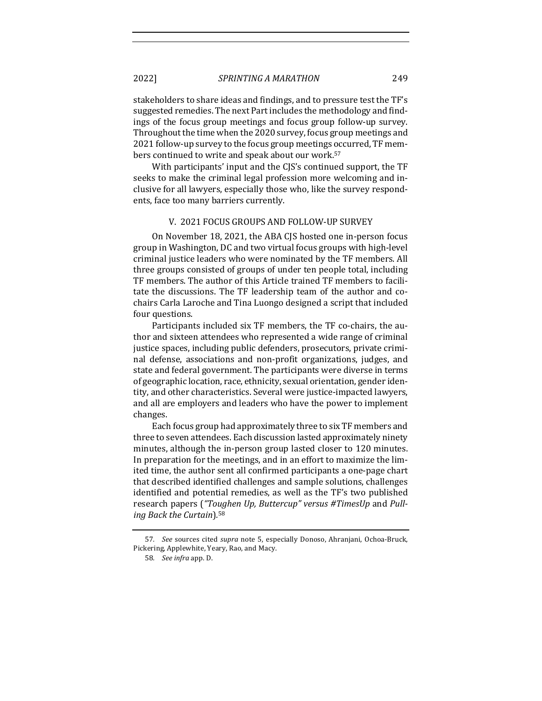stakeholders to share ideas and findings, and to pressure test the TF's suggested remedies. The next Part includes the methodology and findings of the focus group meetings and focus group follow-up survey. Throughout the time when the 2020 survey, focus group meetings and 2021 follow-up survey to the focus group meetings occurred, TF members continued to write and speak about our work.<sup>57</sup>

With participants' input and the CJS's continued support, the TF seeks to make the criminal legal profession more welcoming and inclusive for all lawyers, especially those who, like the survey respondents, face too many barriers currently.

#### V. 2021 FOCUS GROUPS AND FOLLOW-UP SURVEY

On November 18, 2021, the ABA CJS hosted one in-person focus group in Washington, DC and two virtual focus groups with high-level criminal justice leaders who were nominated by the TF members. All three groups consisted of groups of under ten people total, including TF members. The author of this Article trained TF members to facilitate the discussions. The TF leadership team of the author and cochairs Carla Laroche and Tina Luongo designed a script that included four questions.

Participants included six TF members, the TF co-chairs, the author and sixteen attendees who represented a wide range of criminal justice spaces, including public defenders, prosecutors, private criminal defense, associations and non-profit organizations, judges, and state and federal government. The participants were diverse in terms of geographic location, race, ethnicity, sexual orientation, gender identity, and other characteristics. Several were justice-impacted lawyers, and all are employers and leaders who have the power to implement changes. 

Each focus group had approximately three to six TF members and three to seven attendees. Each discussion lasted approximately ninety minutes, although the in-person group lasted closer to 120 minutes. In preparation for the meetings, and in an effort to maximize the limited time, the author sent all confirmed participants a one-page chart that described identified challenges and sample solutions, challenges identified and potential remedies, as well as the TF's two published research papers ("Toughen Up, Buttercup" versus #TimesUp and Pull*ing Back the Curtain*)*.* 58

<sup>57.</sup> *See* sources cited *supra* note 5, especially Donoso, Ahranjani, Ochoa-Bruck, Pickering, Applewhite, Yeary, Rao, and Macy.

<sup>58</sup>*. See infra* app. D.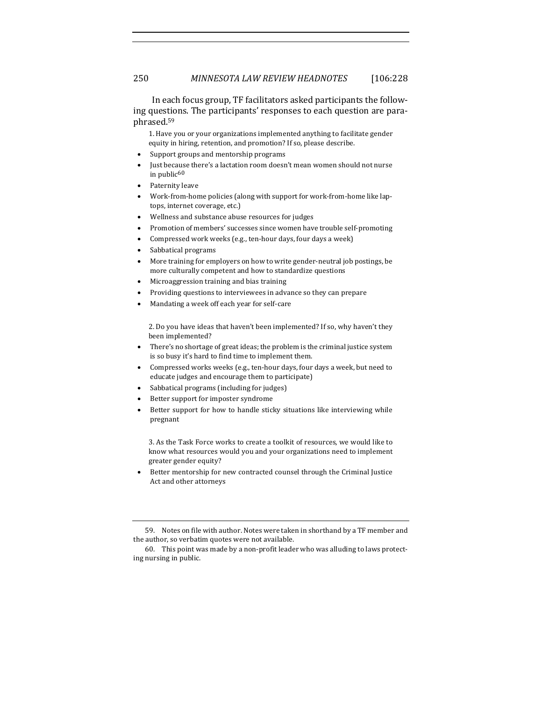In each focus group, TF facilitators asked participants the following questions. The participants' responses to each question are paraphrased.59

1. Have you or your organizations implemented anything to facilitate gender equity in hiring, retention, and promotion? If so, please describe.

- Support groups and mentorship programs
- Just because there's a lactation room doesn't mean women should not nurse in public $60$
- Paternity leave
- Work-from-home policies (along with support for work-from-home like laptops, internet coverage, etc.)
- Wellness and substance abuse resources for judges
- Promotion of members' successes since women have trouble self-promoting
- Compressed work weeks (e.g., ten-hour days, four days a week)
- Sabbatical programs
- More training for employers on how to write gender-neutral job postings, be more culturally competent and how to standardize questions
- Microaggression training and bias training
- Providing questions to interviewees in advance so they can prepare
- Mandating a week off each year for self-care

2. Do you have ideas that haven't been implemented? If so, why haven't they been implemented?

- There's no shortage of great ideas; the problem is the criminal justice system is so busy it's hard to find time to implement them.
- Compressed works weeks (e.g., ten-hour days, four days a week, but need to educate judges and encourage them to participate)
- Sabbatical programs (including for judges)
- Better support for imposter syndrome
- Better support for how to handle sticky situations like interviewing while pregnant

3. As the Task Force works to create a toolkit of resources, we would like to know what resources would you and your organizations need to implement greater gender equity?

Better mentorship for new contracted counsel through the Criminal Justice Act and other attorneys

<sup>59.</sup> Notes on file with author. Notes were taken in shorthand by a TF member and the author, so verbatim quotes were not available.

<sup>60.</sup> This point was made by a non-profit leader who was alluding to laws protecting nursing in public.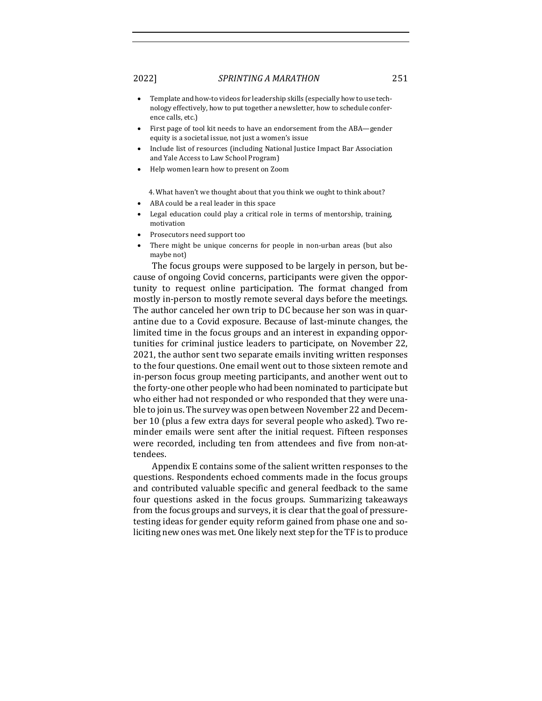- Template and how-to videos for leadership skills (especially how to use technology effectively, how to put together a newsletter, how to schedule conference calls, etc.)
- First page of tool kit needs to have an endorsement from the ABA-gender equity is a societal issue, not just a women's issue
- Include list of resources (including National Justice Impact Bar Association and Yale Access to Law School Program)
- Help women learn how to present on Zoom

4. What haven't we thought about that you think we ought to think about?

- ABA could be a real leader in this space
- Legal education could play a critical role in terms of mentorship, training, motivation
- Prosecutors need support too
- There might be unique concerns for people in non-urban areas (but also maybe not)

The focus groups were supposed to be largely in person, but because of ongoing Covid concerns, participants were given the opportunity to request online participation. The format changed from mostly in-person to mostly remote several days before the meetings. The author canceled her own trip to DC because her son was in quarantine due to a Covid exposure. Because of last-minute changes, the limited time in the focus groups and an interest in expanding opportunities for criminal justice leaders to participate, on November 22, 2021, the author sent two separate emails inviting written responses to the four questions. One email went out to those sixteen remote and in-person focus group meeting participants, and another went out to the forty-one other people who had been nominated to participate but who either had not responded or who responded that they were unable to join us. The survey was open between November 22 and December 10 (plus a few extra days for several people who asked). Two reminder emails were sent after the initial request. Fifteen responses were recorded, including ten from attendees and five from non-attendees. 

Appendix E contains some of the salient written responses to the questions. Respondents echoed comments made in the focus groups and contributed valuable specific and general feedback to the same four questions asked in the focus groups. Summarizing takeaways from the focus groups and surveys, it is clear that the goal of pressuretesting ideas for gender equity reform gained from phase one and soliciting new ones was met. One likely next step for the TF is to produce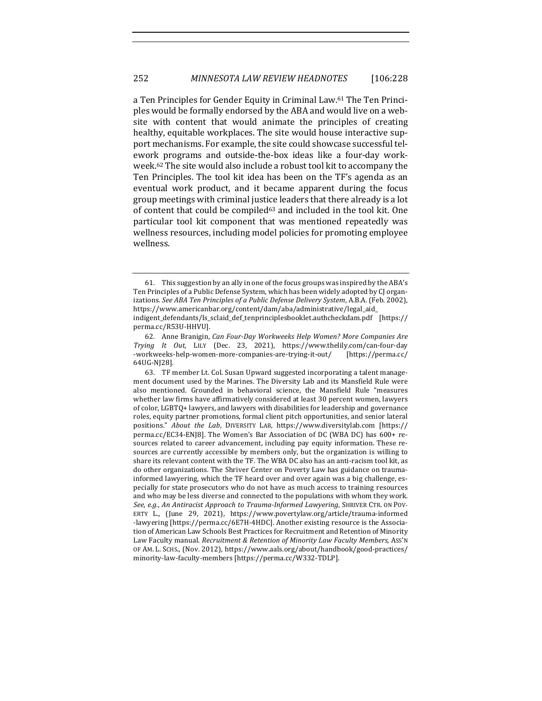a Ten Principles for Gender Equity in Criminal Law.<sup>61</sup> The Ten Principles would be formally endorsed by the ABA and would live on a website with content that would animate the principles of creating healthy, equitable workplaces. The site would house interactive support mechanisms. For example, the site could showcase successful telework programs and outside-the-box ideas like a four-day workweek.<sup>62</sup> The site would also include a robust tool kit to accompany the Ten Principles. The tool kit idea has been on the TF's agenda as an eventual work product, and it became apparent during the focus group meetings with criminal justice leaders that there already is a lot of content that could be compiled<sup>63</sup> and included in the tool kit. One particular tool kit component that was mentioned repeatedly was wellness resources, including model policies for promoting employee wellness. 

<sup>61.</sup> This suggestion by an ally in one of the focus groups was inspired by the ABA's Ten Principles of a Public Defense System, which has been widely adopted by CJ organizations. See ABA Ten Principles of a Public Defense Delivery System, A.B.A. (Feb. 2002), https://www.americanbar.org/content/dam/aba/administrative/legal\_aid\_

indigent\_defendants/ls\_sclaid\_def\_tenprinciplesbooklet.authcheckdam.pdf [https:// perma.cc/R53U-HHVU]. 

<sup>62.</sup> Anne Branigin, *Can Four-Day Workweeks Help Women? More Companies Are Trying It Out*, LILY (Dec. 23, 2021), https://www.thelily.com/can-four-day -workweeks-help-women-more-companies-are-trying-it-out/ [https://perma.cc/ 64UG-NJ28].

<sup>63.</sup> TF member Lt. Col. Susan Upward suggested incorporating a talent management document used by the Marines. The Diversity Lab and its Mansfield Rule were also mentioned. Grounded in behavioral science, the Mansfield Rule "measures whether law firms have affirmatively considered at least 30 percent women, lawyers of color, LGBTQ+ lawyers, and lawyers with disabilities for leadership and governance roles, equity partner promotions, formal client pitch opportunities, and senior lateral positions." About the Lab, DIVERSITY LAB, https://www.diversitylab.com [https:// perma.cc/EC34-ENJ8]. The Women's Bar Association of DC (WBA DC) has 600+ resources related to career advancement, including pay equity information. These resources are currently accessible by members only, but the organization is willing to share its relevant content with the TF. The WBA DC also has an anti-racism tool kit, as do other organizations. The Shriver Center on Poverty Law has guidance on traumainformed lawyering, which the TF heard over and over again was a big challenge, especially for state prosecutors who do not have as much access to training resources and who may be less diverse and connected to the populations with whom they work. See, e.g., An Antiracist Approach to Trauma-Informed Lawyering, SHRIVER CTR. ON POV-ERTY L., (June 29, 2021), https://www.povertylaw.org/article/trauma-informed -lawyering [https://perma.cc/6E7H-4HDC]. Another existing resource is the Association of American Law Schools Best Practices for Recruitment and Retention of Minority Law Faculty manual. Recruitment & Retention of Minority Law Faculty Members, Ass'N OF AM. L. SCHS., (Nov. 2012), https://www.aals.org/about/handbook/good-practices/ minority-law-faculty-members [https://perma.cc/W332-TDLP].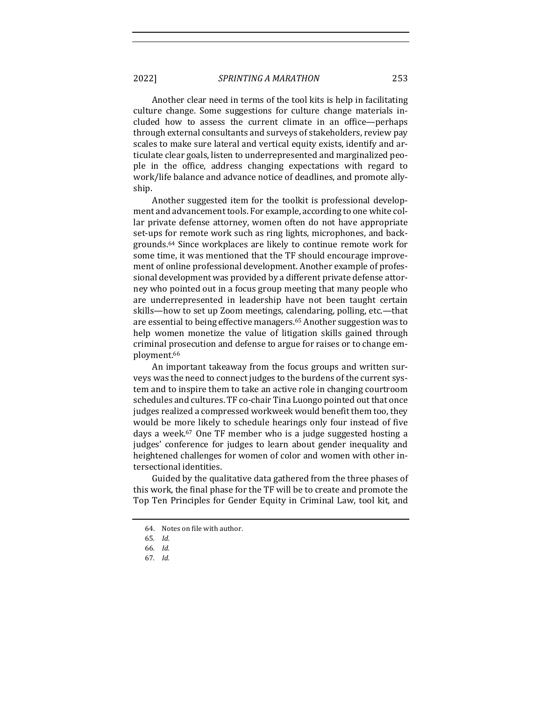Another clear need in terms of the tool kits is help in facilitating culture change. Some suggestions for culture change materials included how to assess the current climate in an office—perhaps through external consultants and surveys of stakeholders, review pay scales to make sure lateral and vertical equity exists, identify and articulate clear goals, listen to underrepresented and marginalized people in the office, address changing expectations with regard to work/life balance and advance notice of deadlines, and promote allyship. 

Another suggested item for the toolkit is professional development and advancement tools. For example, according to one white collar private defense attorney, women often do not have appropriate set-ups for remote work such as ring lights, microphones, and backgrounds.<sup>64</sup> Since workplaces are likely to continue remote work for some time, it was mentioned that the TF should encourage improvement of online professional development. Another example of professional development was provided by a different private defense attorney who pointed out in a focus group meeting that many people who are underrepresented in leadership have not been taught certain skills—how to set up Zoom meetings, calendaring, polling, etc.—that are essential to being effective managers.<sup>65</sup> Another suggestion was to help women monetize the value of litigation skills gained through criminal prosecution and defense to argue for raises or to change employment.<sup>66</sup>

An important takeaway from the focus groups and written surveys was the need to connect judges to the burdens of the current system and to inspire them to take an active role in changing courtroom schedules and cultures. TF co-chair Tina Luongo pointed out that once judges realized a compressed workweek would benefit them too, they would be more likely to schedule hearings only four instead of five days a week.<sup>67</sup> One TF member who is a judge suggested hosting a judges' conference for judges to learn about gender inequality and heightened challenges for women of color and women with other intersectional identities.

Guided by the qualitative data gathered from the three phases of this work, the final phase for the TF will be to create and promote the Top Ten Principles for Gender Equity in Criminal Law, tool kit, and

<sup>64.</sup> Notes on file with author.

<sup>65</sup>*. Id.*

<sup>66</sup>*. Id.*

<sup>67</sup>*. Id.*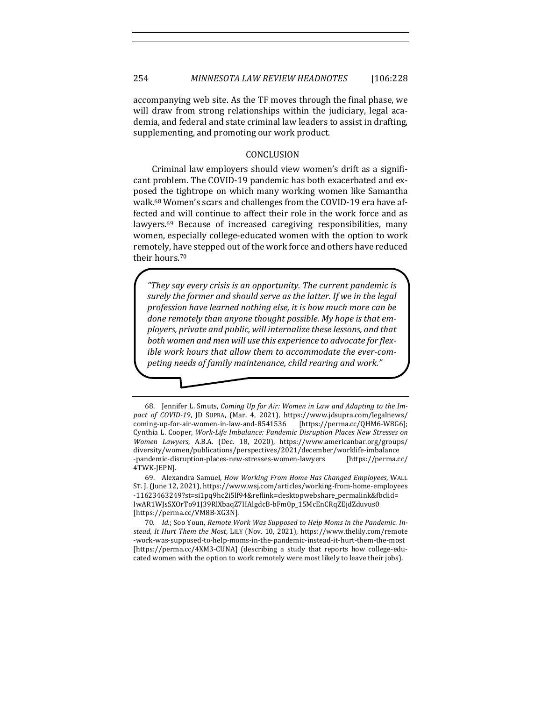accompanying web site. As the TF moves through the final phase, we will draw from strong relationships within the judiciary, legal academia, and federal and state criminal law leaders to assist in drafting, supplementing, and promoting our work product.

#### CONCLUSION

Criminal law employers should view women's drift as a significant problem. The COVID-19 pandemic has both exacerbated and exposed the tightrope on which many working women like Samantha walk.<sup>68</sup> Women's scars and challenges from the COVID-19 era have affected and will continue to affect their role in the work force and as lawyers.<sup>69</sup> Because of increased caregiving responsibilities, many women, especially college-educated women with the option to work remotely, have stepped out of the work force and others have reduced their hours.<sup>70</sup>

*"They say every crisis is an opportunity. The current pandemic is*  surely the former and should serve as the latter. If we in the legal profession have learned nothing else, it is how much more can be done remotely than anyone thought possible. My hope is that employers, private and public, will internalize these lessons, and that both women and men will use this experience to advocate for flexible work hours that allow them to accommodate the ever-com*peting needs of family maintenance, child rearing and work."*

69. Alexandra Samuel, *How Working From Home Has Changed Employees*, WALL ST. J. (June 12, 2021), https://www.wsj.com/articles/working-from-home-employees -11623463249?st=si1pq9hc2i5lf94&reflink=desktopwebshare\_permalink&fbclid= IwAR1WJsSXOrTo91J39RlXbaqZ7HAlgdcB-bFm0p\_15McEnCRqZEjdZduvus0 [https://perma.cc/VM8B-XG3N].

70. Id.; Soo Youn, Remote Work Was Supposed to Help Moms in the Pandemic. In*stead, It Hurt Them the Most, LILY (Nov. 10, 2021), https://www.thelily.com/remote* -work-was-supposed-to-help-moms-in-the-pandemic-instead-it-hurt-them-the-most [https://perma.cc/4XM3-CUNA] (describing a study that reports how college-educated women with the option to work remotely were most likely to leave their jobs).

<sup>68.</sup> Jennifer L. Smuts, *Coming Up for Air: Women in Law and Adapting to the Impact of COVID-19*, JD SUPRA, (Mar. 4, 2021), https://www.jdsupra.com/legalnews/ coming-up-for-air-women-in-law-and-8541536 [https://perma.cc/QHM6-W8G6]; Cynthia L. Cooper, *Work-Life Imbalance: Pandemic Disruption Places New Stresses on Women Lawyers*, A.B.A. (Dec. 18, 2020), https://www.americanbar.org/groups/ diversity/women/publications/perspectives/2021/december/worklife-imbalance -pandemic-disruption-places-new-stresses-women-lawyers [https://perma.cc/ 4TWK-JEPN].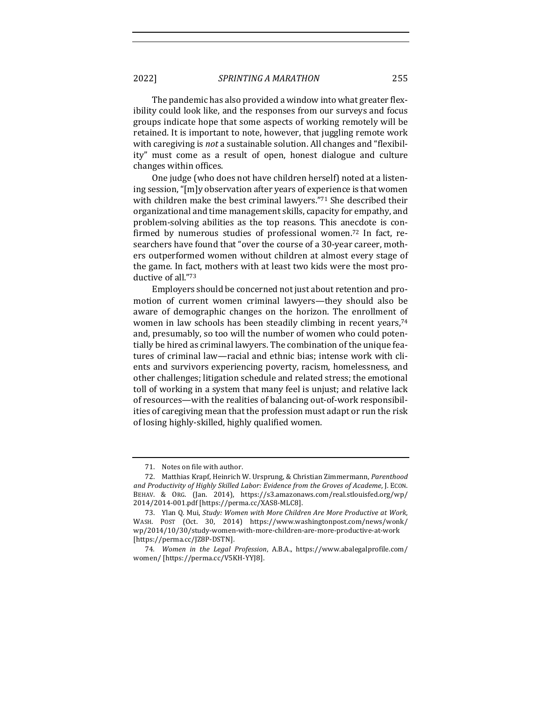The pandemic has also provided a window into what greater flexibility could look like, and the responses from our surveys and focus groups indicate hope that some aspects of working remotely will be retained. It is important to note, however, that juggling remote work with caregiving is *not* a sustainable solution. All changes and "flexibility" must come as a result of open, honest dialogue and culture changes within offices.

One judge (who does not have children herself) noted at a listening session, "[m]y observation after years of experience is that women with children make the best criminal lawyers." $71$  She described their organizational and time management skills, capacity for empathy, and problem-solving abilities as the top reasons. This anecdote is confirmed by numerous studies of professional women.<sup>72</sup> In fact, researchers have found that "over the course of a 30-year career, mothers outperformed women without children at almost every stage of the game. In fact, mothers with at least two kids were the most productive of all."73

Employers should be concerned not just about retention and promotion of current women criminal lawyers—they should also be aware of demographic changes on the horizon. The enrollment of women in law schools has been steadily climbing in recent years, $74$ and, presumably, so too will the number of women who could potentially be hired as criminal lawyers. The combination of the unique features of criminal law—racial and ethnic bias; intense work with clients and survivors experiencing poverty, racism, homelessness, and other challenges; litigation schedule and related stress; the emotional toll of working in a system that many feel is unjust; and relative lack of resources—with the realities of balancing out-of-work responsibilities of caregiving mean that the profession must adapt or run the risk of losing highly-skilled, highly qualified women.

<sup>71.</sup> Notes on file with author.

<sup>72.</sup> Matthias Krapf, Heinrich W. Ursprung, & Christian Zimmermann, *Parenthood* and Productivity of Highly Skilled Labor: Evidence from the Groves of Academe, J. ECON. BEHAV. & ORG. (Jan. 2014), https://s3.amazonaws.com/real.stlouisfed.org/wp/ 2014/2014-001.pdf [https://perma.cc/XAS8-MLC8]. 

<sup>73.</sup> Ylan Q. Mui, *Study: Women with More Children Are More Productive at Work*, WASH. POST (Oct. 30, 2014) https://www.washingtonpost.com/news/wonk/ wp/2014/10/30/study-women-with-more-children-are-more-productive-at-work [https://perma.cc/JZ8P-DSTN].

<sup>74.</sup> Women in the Legal Profession, A.B.A., https://www.abalegalprofile.com/ women/ [https://perma.cc/V5KH-YYJ8].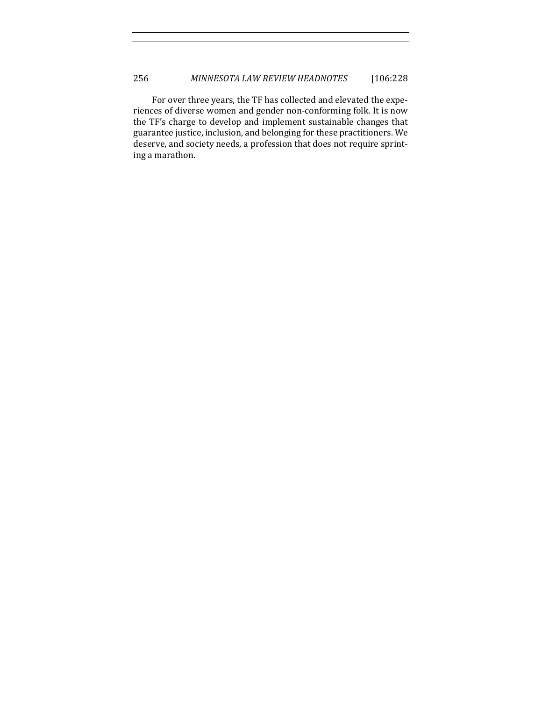For over three years, the TF has collected and elevated the experiences of diverse women and gender non-conforming folk. It is now the TF's charge to develop and implement sustainable changes that guarantee justice, inclusion, and belonging for these practitioners. We deserve, and society needs, a profession that does not require sprinting a marathon.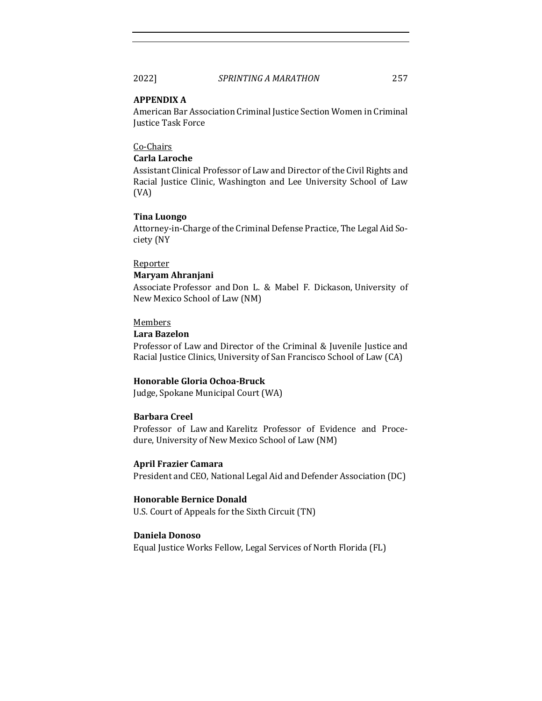#### **APPENDIX A**

American Bar Association Criminal Justice Section Women in Criminal **Justice Task Force** 

#### Co-Chairs

#### **Carla Laroche**

Assistant Clinical Professor of Law and Director of the Civil Rights and Racial Justice Clinic, Washington and Lee University School of Law (VA)

#### **Tina Luongo**

Attorney-in-Charge of the Criminal Defense Practice, The Legal Aid Society (NY

#### Reporter

#### **Maryam Ahranjani**

Associate Professor and Don L. & Mabel F. Dickason, University of New Mexico School of Law (NM)

#### Members

#### **Lara Bazelon**

Professor of Law and Director of the Criminal & Juvenile Justice and Racial Justice Clinics, University of San Francisco School of Law (CA)

#### **Honorable Gloria Ochoa-Bruck**

Judge, Spokane Municipal Court (WA)

#### **Barbara Creel**

Professor of Law and Karelitz Professor of Evidence and Procedure, University of New Mexico School of Law (NM)

### **April Frazier Camara** President and CEO, National Legal Aid and Defender Association (DC)

#### **Honorable Bernice Donald** U.S. Court of Appeals for the Sixth Circuit (TN)

#### **Daniela Donoso**

Equal Justice Works Fellow, Legal Services of North Florida (FL)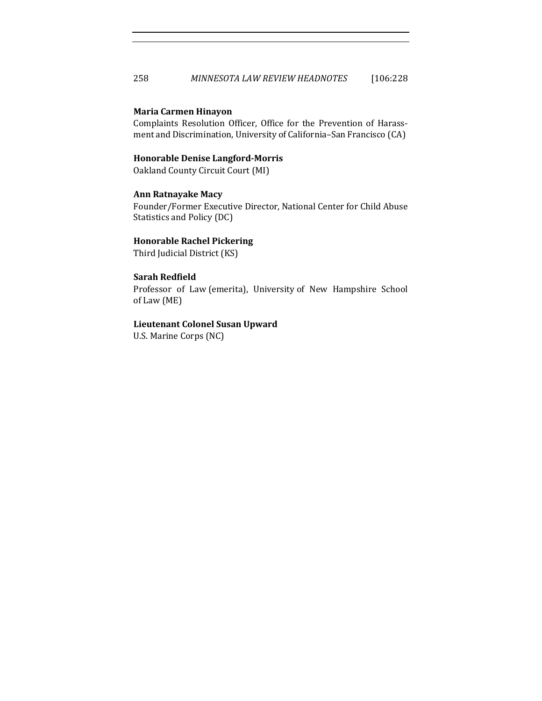#### **Maria Carmen Hinayon**

Complaints Resolution Officer, Office for the Prevention of Harassment and Discrimination, University of California-San Francisco (CA)

#### **Honorable Denise Langford-Morris**

Oakland County Circuit Court (MI)

#### **Ann Ratnayake Macy**

Founder/Former Executive Director, National Center for Child Abuse Statistics and Policy (DC)

#### **Honorable Rachel Pickering**

Third Judicial District (KS)

#### **Sarah Redfield**

Professor of Law (emerita), University of New Hampshire School of Law (ME)

#### **Lieutenant Colonel Susan Upward**

U.S. Marine Corps (NC)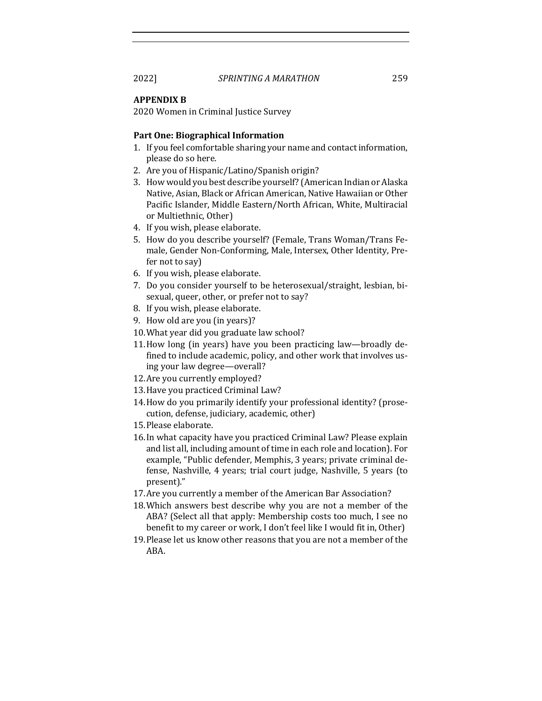#### **APPENDIX B**

2020 Women in Criminal Justice Survey

#### **Part One: Biographical Information**

- 1. If you feel comfortable sharing your name and contact information, please do so here.
- 2. Are you of Hispanic/Latino/Spanish origin?
- 3. How would you best describe yourself? (American Indian or Alaska Native, Asian, Black or African American, Native Hawaiian or Other Pacific Islander, Middle Eastern/North African, White, Multiracial or Multiethnic, Other)
- 4. If you wish, please elaborate.
- 5. How do you describe yourself? (Female, Trans Woman/Trans Female, Gender Non-Conforming, Male, Intersex, Other Identity, Prefer not to say)
- 6. If you wish, please elaborate.
- 7. Do you consider yourself to be heterosexual/straight, lesbian, bisexual, queer, other, or prefer not to say?
- 8. If you wish, please elaborate.
- 9. How old are you (in years)?
- 10. What year did you graduate law school?
- 11. How long (in years) have you been practicing law—broadly defined to include academic, policy, and other work that involves using your law degree—overall?
- 12. Are you currently employed?
- 13. Have you practiced Criminal Law?
- 14. How do you primarily identify your professional identity? (prosecution, defense, judiciary, academic, other)
- 15. Please elaborate.
- 16. In what capacity have you practiced Criminal Law? Please explain and list all, including amount of time in each role and location). For example, "Public defender, Memphis, 3 years; private criminal defense, Nashville, 4 years; trial court judge, Nashville, 5 years (to present)."
- 17. Are you currently a member of the American Bar Association?
- 18. Which answers best describe why you are not a member of the ABA? (Select all that apply: Membership costs too much, I see no benefit to my career or work, I don't feel like I would fit in, Other)
- 19. Please let us know other reasons that you are not a member of the ABA.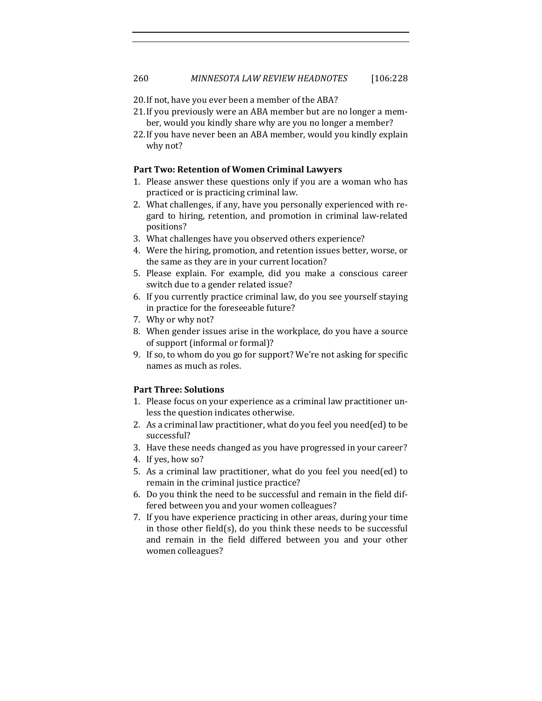- 20. If not, have you ever been a member of the ABA?
- 21. If you previously were an ABA member but are no longer a member, would you kindly share why are you no longer a member?
- 22. If you have never been an ABA member, would you kindly explain why not?

#### Part Two: Retention of Women Criminal Lawyers

- 1. Please answer these questions only if you are a woman who has practiced or is practicing criminal law.
- 2. What challenges, if any, have you personally experienced with regard to hiring, retention, and promotion in criminal law-related positions?
- 3. What challenges have you observed others experience?
- 4. Were the hiring, promotion, and retention issues better, worse, or the same as they are in your current location?
- 5. Please explain. For example, did you make a conscious career switch due to a gender related issue?
- 6. If you currently practice criminal law, do you see yourself staying in practice for the foreseeable future?
- 7. Why or why not?
- 8. When gender issues arise in the workplace, do you have a source of support (informal or formal)?
- 9. If so, to whom do you go for support? We're not asking for specific names as much as roles.

#### **Part Three: Solutions**

- 1. Please focus on your experience as a criminal law practitioner unless the question indicates otherwise.
- 2. As a criminal law practitioner, what do you feel you need(ed) to be successful?
- 3. Have these needs changed as you have progressed in your career?
- 4. If yes, how so?
- 5. As a criminal law practitioner, what do you feel you need(ed) to remain in the criminal justice practice?
- 6. Do you think the need to be successful and remain in the field differed between you and your women colleagues?
- 7. If you have experience practicing in other areas, during your time in those other field(s), do you think these needs to be successful and remain in the field differed between you and your other women colleagues?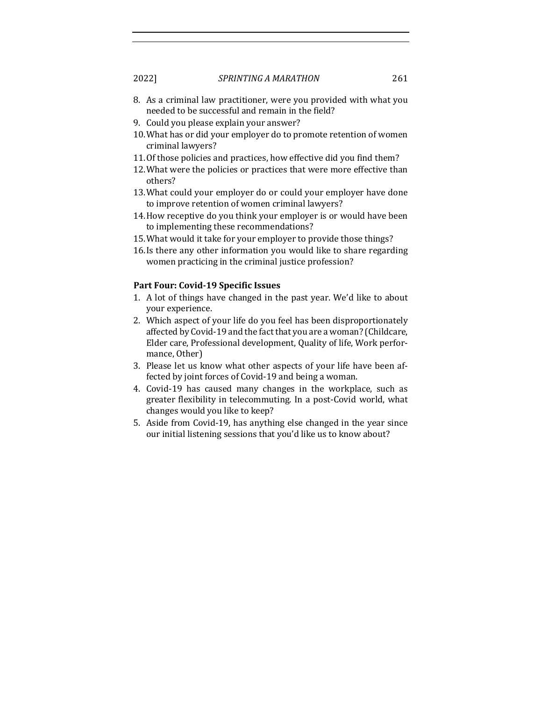- 8. As a criminal law practitioner, were you provided with what you needed to be successful and remain in the field?
- 9. Could you please explain your answer?
- 10. What has or did your employer do to promote retention of women criminal lawyers?
- 11. Of those policies and practices, how effective did you find them?
- 12. What were the policies or practices that were more effective than others?
- 13. What could your employer do or could your employer have done to improve retention of women criminal lawyers?
- 14. How receptive do you think your employer is or would have been to implementing these recommendations?
- 15. What would it take for your employer to provide those things?
- 16.Is there any other information you would like to share regarding women practicing in the criminal justice profession?

#### Part Four: Covid-19 Specific Issues

- 1. A lot of things have changed in the past year. We'd like to about your experience.
- 2. Which aspect of your life do you feel has been disproportionately affected by Covid-19 and the fact that you are a woman? (Childcare, Elder care, Professional development, Quality of life, Work performance, Other)
- 3. Please let us know what other aspects of your life have been affected by joint forces of Covid-19 and being a woman.
- 4. Covid-19 has caused many changes in the workplace, such as greater flexibility in telecommuting. In a post-Covid world, what changes would you like to keep?
- 5. Aside from Covid-19, has anything else changed in the year since our initial listening sessions that you'd like us to know about?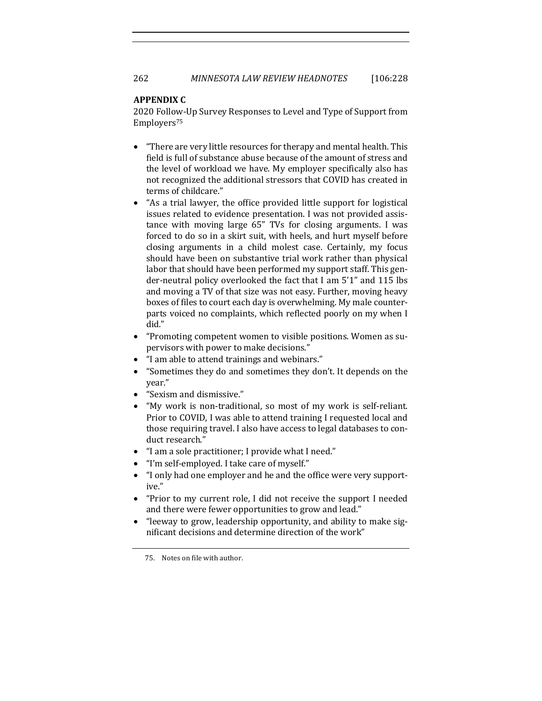#### **APPENDIX C**

2020 Follow-Up Survey Responses to Level and Type of Support from Employers75

- "There are very little resources for therapy and mental health. This field is full of substance abuse because of the amount of stress and the level of workload we have. My employer specifically also has not recognized the additional stressors that COVID has created in terms of childcare."
- "As a trial lawyer, the office provided little support for logistical issues related to evidence presentation. I was not provided assistance with moving large 65" TVs for closing arguments. I was forced to do so in a skirt suit, with heels, and hurt myself before closing arguments in a child molest case. Certainly, my focus should have been on substantive trial work rather than physical labor that should have been performed my support staff. This gender-neutral policy overlooked the fact that I am 5'1" and 115 lbs and moving a TV of that size was not easy. Further, moving heavy boxes of files to court each day is overwhelming. My male counterparts voiced no complaints, which reflected poorly on my when I did."
- "Promoting competent women to visible positions. Women as supervisors with power to make decisions."
- "I am able to attend trainings and webinars."
- "Sometimes they do and sometimes they don't. It depends on the year."
- "Sexism and dismissive."
- "My work is non-traditional, so most of my work is self-reliant. Prior to COVID, I was able to attend training I requested local and those requiring travel. I also have access to legal databases to conduct research."
- "I am a sole practitioner; I provide what I need."
- "I'm self-employed. I take care of myself."
- "I only had one employer and he and the office were very supportive."
- "Prior to my current role, I did not receive the support I needed and there were fewer opportunities to grow and lead."
- "leeway to grow, leadership opportunity, and ability to make significant decisions and determine direction of the work"

<sup>75.</sup> Notes on file with author.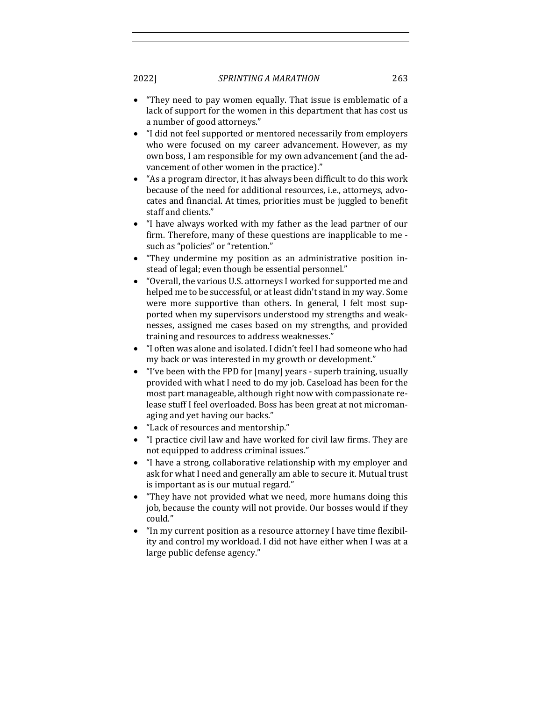- "They need to pay women equally. That issue is emblematic of a lack of support for the women in this department that has cost us a number of good attorneys."
- "I did not feel supported or mentored necessarily from employers who were focused on my career advancement. However, as my own boss, I am responsible for my own advancement (and the advancement of other women in the practice)."
- "As a program director, it has always been difficult to do this work because of the need for additional resources, i.e., attorneys, advocates and financial. At times, priorities must be juggled to benefit staff and clients."
- "I have always worked with my father as the lead partner of our firm. Therefore, many of these questions are inapplicable to me such as "policies" or "retention."
- "They undermine my position as an administrative position instead of legal; even though be essential personnel."
- "Overall, the various U.S. attorneys I worked for supported me and helped me to be successful, or at least didn't stand in my way. Some were more supportive than others. In general, I felt most supported when my supervisors understood my strengths and weaknesses, assigned me cases based on my strengths, and provided training and resources to address weaknesses."
- "I often was alone and isolated. I didn't feel I had someone who had my back or was interested in my growth or development."
- "I've been with the FPD for  $[many]$  years superb training, usually provided with what I need to do my job. Caseload has been for the most part manageable, although right now with compassionate release stuff I feel overloaded. Boss has been great at not micromanaging and yet having our backs."
- "Lack of resources and mentorship."
- "I practice civil law and have worked for civil law firms. They are not equipped to address criminal issues."
- "I have a strong, collaborative relationship with my employer and ask for what I need and generally am able to secure it. Mutual trust is important as is our mutual regard."
- "They have not provided what we need, more humans doing this job, because the county will not provide. Our bosses would if they could."
- "In my current position as a resource attorney I have time flexibility and control my workload. I did not have either when I was at a large public defense agency."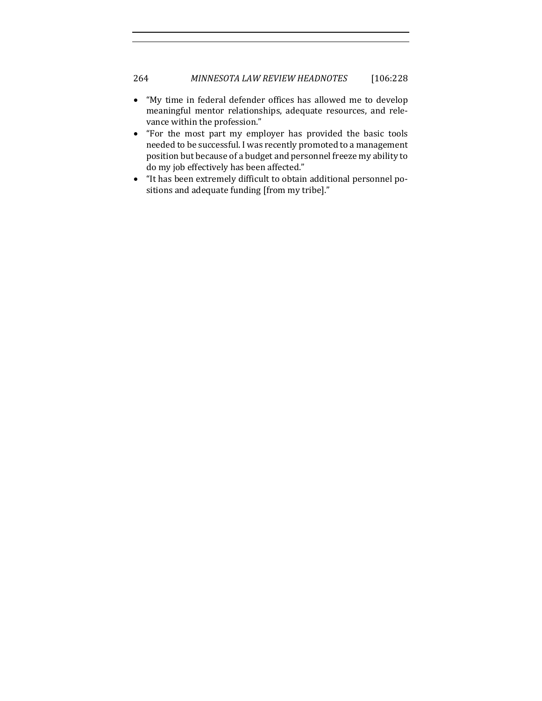### 264 *MINNESOTA LAW REVIEW HEADNOTES* [106:228

- "My time in federal defender offices has allowed me to develop meaningful mentor relationships, adequate resources, and relevance within the profession."
- "For the most part my employer has provided the basic tools needed to be successful. I was recently promoted to a management position but because of a budget and personnel freeze my ability to do my job effectively has been affected."
- "It has been extremely difficult to obtain additional personnel positions and adequate funding [from my tribe]."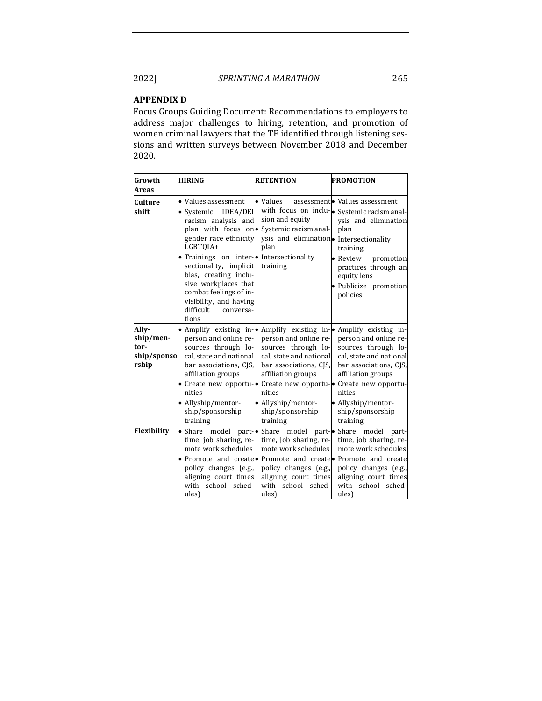#### **APPENDIX D**

Focus Groups Guiding Document: Recommendations to employers to address major challenges to hiring, retention, and promotion of women criminal lawyers that the TF identified through listening sessions and written surveys between November 2018 and December 2020. 

| Growth                                             | HIRING                                                                                                                                                                                                                                                                                                                                                 | <b>RETENTION</b>                                                                                                                                                                                                                                            | <b>PROMOTION</b>                                                                                                                                                                                                                                           |
|----------------------------------------------------|--------------------------------------------------------------------------------------------------------------------------------------------------------------------------------------------------------------------------------------------------------------------------------------------------------------------------------------------------------|-------------------------------------------------------------------------------------------------------------------------------------------------------------------------------------------------------------------------------------------------------------|------------------------------------------------------------------------------------------------------------------------------------------------------------------------------------------------------------------------------------------------------------|
| Areas                                              |                                                                                                                                                                                                                                                                                                                                                        |                                                                                                                                                                                                                                                             |                                                                                                                                                                                                                                                            |
| Culture<br>shift                                   | • Values assessment<br>IDEA/DEI<br>$\bullet$ Systemic<br>racism analysis and<br>plan with focus on.<br>gender race ethnicity<br>LGBTOIA+<br>• Trainings on inter-• Intersectionality<br>sectionality, implicit<br>bias, creating inclu-<br>sive workplaces that<br>combat feelings of in-<br>visibility, and having<br>difficult<br>conversa-<br>tions | • Values<br>sion and equity<br>Systemic racism anal-<br>ysis and elimination. Intersectionality<br>plan<br>training                                                                                                                                         | assessment. Values assessment<br>with focus on inclu- $\bullet$ Systemic racism anal-<br>ysis and elimination<br>plan<br>training<br>• Review<br>promotion<br>practices through an<br>equity lens<br>· Publicize promotion<br>policies                     |
| Ally-<br>ship/men-<br>tor-<br>ship/sponso<br>rship | person and online re-<br>sources through lo-<br>cal, state and national<br>bar associations, CJS,<br>affiliation groups<br>nities<br>• Allyship/mentor-<br>ship/sponsorship<br>training                                                                                                                                                                | • Amplify existing in-• Amplify existing in-• Amplify existing in-<br>person and online re-<br>sources through lo-<br>cal. state and national<br>bar associations, CJS,<br>affiliation groups<br>nities<br>Allyship/mentor-<br>ship/sponsorship<br>training | person and online re-<br>sources through lo-<br>cal, state and national<br>bar associations, CJS,<br>affiliation groups<br>• Create new opportu-• Create new opportu-• Create new opportu-<br>nities<br>• Allyship/mentor-<br>ship/sponsorship<br>training |
| Flexibility                                        | • Share model<br>time, job sharing, re-<br>mote work schedules<br>policy changes (e.g.,<br>aligning court times<br>with school sched-<br>ules)                                                                                                                                                                                                         | part- $\bullet$ Share model part- $\bullet$ Share model<br>time, job sharing, re-<br>mote work schedules<br>policy changes (e.g.,<br>aligning court times<br>with school sched-<br>ules)                                                                    | part-<br>time, job sharing, re-<br>mote work schedules<br>• Promote and create Promote and create Promote and create<br>policy changes (e.g.,<br>aligning court times<br>with school sched-<br>ules)                                                       |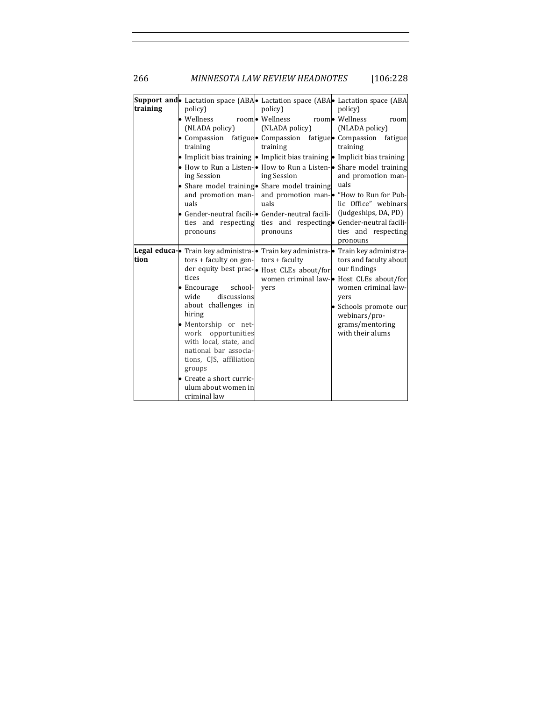266 *MINNESOTA LAW REVIEW HEADNOTES* [106:228

| training | policy)                                | Support and Lactation space (ABA Lactation space (ABA Lactation space (ABA<br>policy)      | policy)                                           |
|----------|----------------------------------------|--------------------------------------------------------------------------------------------|---------------------------------------------------|
|          | • Wellness<br>(NLADA policy)           | room • Wellness<br>(NLADA policy)                                                          | room• Wellness<br>room<br>(NLADA policy)          |
|          | training                               | • Compassion fatigue • Compassion fatigue • Compassion fatigue<br>training                 | training                                          |
|          |                                        | • Implicit bias training $\bullet$ Implicit bias training $\bullet$ Implicit bias training |                                                   |
|          |                                        | • How to Run a Listen-• How to Run a Listen-• Share model training                         |                                                   |
|          | ing Session                            | ing Session                                                                                | and promotion man-                                |
|          |                                        | • Share model training • Share model training                                              | uals                                              |
|          | and promotion man-                     |                                                                                            | and promotion man- $\bullet$ "How to Run for Pub- |
|          | uals                                   | uals                                                                                       | lic Office" webinars                              |
|          |                                        | • Gender-neutral facili-• Gender-neutral facili-                                           | (judgeships, DA, PD)                              |
|          |                                        | ties and respecting ties and respecting Gender-neutral facili-                             |                                                   |
|          | pronouns                               | pronouns                                                                                   | ties and respecting                               |
|          |                                        |                                                                                            | pronouns                                          |
| tion     |                                        | Legal educa-• Train key administra-• Train key administra-• Train key administra-          |                                                   |
|          | $tors + faculty on gen-tors + faculty$ |                                                                                            | tors and faculty about<br>our findings            |
|          | tices                                  | der equity best prac-<br>• Host CLEs about/for                                             | women criminal law-• Host CLEs about/for          |
|          | school-<br>$\bullet$ Encourage         | yers                                                                                       | women criminal law-                               |
|          | discussions<br>wide                    |                                                                                            | yers                                              |
|          | about challenges in                    |                                                                                            | • Schools promote our                             |
|          | hiring                                 |                                                                                            | webinars/pro-                                     |
|          | · Mentorship or net-                   |                                                                                            | grams/mentoring                                   |
|          | work opportunities                     |                                                                                            | with their alums                                  |
|          | with local, state, and                 |                                                                                            |                                                   |
|          | national bar associa-                  |                                                                                            |                                                   |
|          | tions, CJS, affiliation                |                                                                                            |                                                   |
|          | groups                                 |                                                                                            |                                                   |
|          | • Create a short curric-               |                                                                                            |                                                   |
|          | ulum about women in<br>criminal law    |                                                                                            |                                                   |
|          |                                        |                                                                                            |                                                   |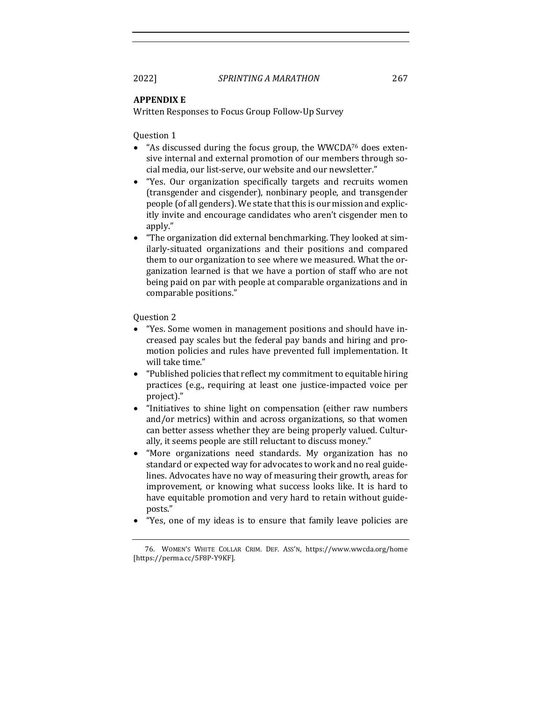#### **APPENDIX E**

Written Responses to Focus Group Follow-Up Survey

Question 1

- "As discussed during the focus group, the WWCDA $^{76}$  does extensive internal and external promotion of our members through social media, our list-serve, our website and our newsletter."
- "Yes. Our organization specifically targets and recruits women (transgender and cisgender), nonbinary people, and transgender people (of all genders). We state that this is our mission and explicitly invite and encourage candidates who aren't cisgender men to apply."
- "The organization did external benchmarking. They looked at similarly-situated organizations and their positions and compared them to our organization to see where we measured. What the organization learned is that we have a portion of staff who are not being paid on par with people at comparable organizations and in comparable positions."

Question 2

- "Yes. Some women in management positions and should have increased pay scales but the federal pay bands and hiring and promotion policies and rules have prevented full implementation. It will take time."
- "Published policies that reflect my commitment to equitable hiring practices (e.g., requiring at least one justice-impacted voice per project)."
- "Initiatives to shine light on compensation (either raw numbers and/or metrics) within and across organizations, so that women can better assess whether they are being properly valued. Culturally, it seems people are still reluctant to discuss money."
- "More organizations need standards. My organization has no standard or expected way for advocates to work and no real guidelines. Advocates have no way of measuring their growth, areas for improvement, or knowing what success looks like. It is hard to have equitable promotion and very hard to retain without guideposts."
- "Yes, one of my ideas is to ensure that family leave policies are

<sup>76.</sup> WOMEN'S WHITE COLLAR CRIM. DEF. ASS'N, https://www.wwcda.org/home [https://perma.cc/5F8P-Y9KF].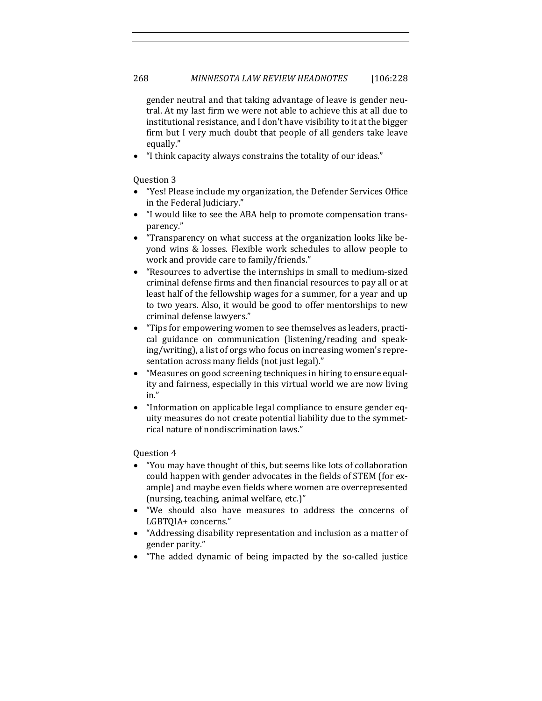gender neutral and that taking advantage of leave is gender neutral. At my last firm we were not able to achieve this at all due to institutional resistance, and I don't have visibility to it at the bigger firm but I very much doubt that people of all genders take leave equally."

"I think capacity always constrains the totality of our ideas."

Question 3

- "Yes! Please include my organization, the Defender Services Office in the Federal Judiciary."
- "I would like to see the ABA help to promote compensation transparency."
- "Transparency on what success at the organization looks like beyond wins & losses. Flexible work schedules to allow people to work and provide care to family/friends."
- "Resources to advertise the internships in small to medium-sized criminal defense firms and then financial resources to pay all or at least half of the fellowship wages for a summer, for a year and up to two years. Also, it would be good to offer mentorships to new criminal defense lawyers."
- "Tips for empowering women to see themselves as leaders, practical guidance on communication (listening/reading and speaking/writing), a list of orgs who focus on increasing women's representation across many fields (not just legal)."
- "Measures on good screening techniques in hiring to ensure equality and fairness, especially in this virtual world we are now living in."
- "Information on applicable legal compliance to ensure gender equity measures do not create potential liability due to the symmetrical nature of nondiscrimination laws."

Question 4

- "You may have thought of this, but seems like lots of collaboration could happen with gender advocates in the fields of STEM (for example) and maybe even fields where women are overrepresented (nursing, teaching, animal welfare, etc.)"
- "We should also have measures to address the concerns of LGBTQIA+ concerns."
- "Addressing disability representation and inclusion as a matter of gender parity."
- "The added dynamic of being impacted by the so-called justice